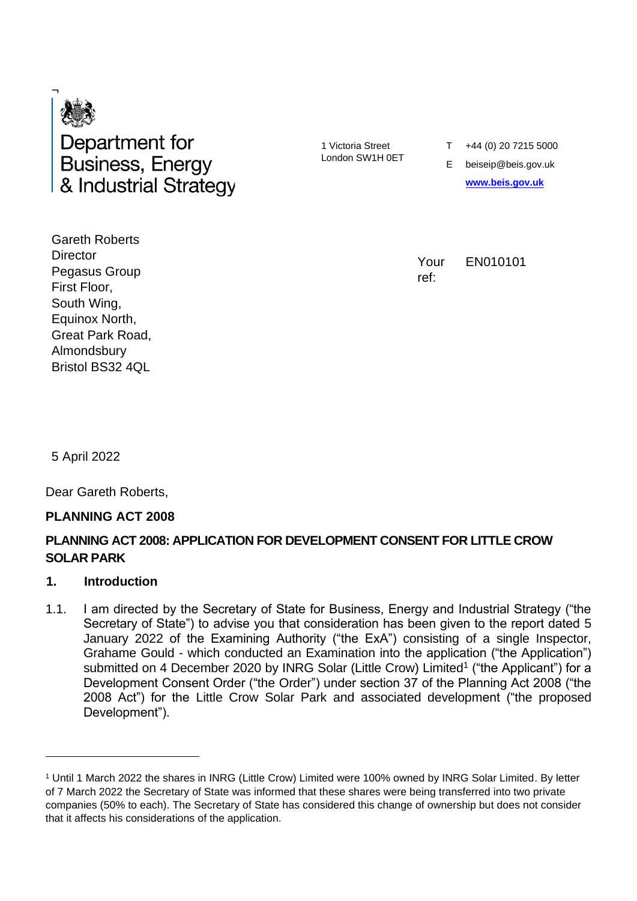

1 Victoria Street London SW1H 0ET T +44 (0) 20 7215 5000

E beiseip@beis.gov.uk **[www.beis.gov.uk](http://www.beis.gov.uk/)**

Your ref:

EN010101

Gareth Roberts **Director** Pegasus Group First Floor, South Wing, Equinox North, Great Park Road, Almondsbury Bristol BS32 4QL

5 April 2022

Dear Gareth Roberts,

#### **PLANNING ACT 2008**

### **PLANNING ACT 2008: APPLICATION FOR DEVELOPMENT CONSENT FOR LITTLE CROW SOLAR PARK**

#### **1. Introduction**

1.1. I am directed by the Secretary of State for Business, Energy and Industrial Strategy ("the Secretary of State") to advise you that consideration has been given to the report dated 5 January 2022 of the Examining Authority ("the ExA") consisting of a single Inspector, Grahame Gould - which conducted an Examination into the application ("the Application") submitted on 4 December 2020 by INRG Solar (Little Crow) Limited<sup>1</sup> ("the Applicant") for a Development Consent Order ("the Order") under section 37 of the Planning Act 2008 ("the 2008 Act") for the Little Crow Solar Park and associated development ("the proposed Development").

<sup>1</sup> Until 1 March 2022 the shares in INRG (Little Crow) Limited were 100% owned by INRG Solar Limited. By letter of 7 March 2022 the Secretary of State was informed that these shares were being transferred into two private companies (50% to each). The Secretary of State has considered this change of ownership but does not consider that it affects his considerations of the application.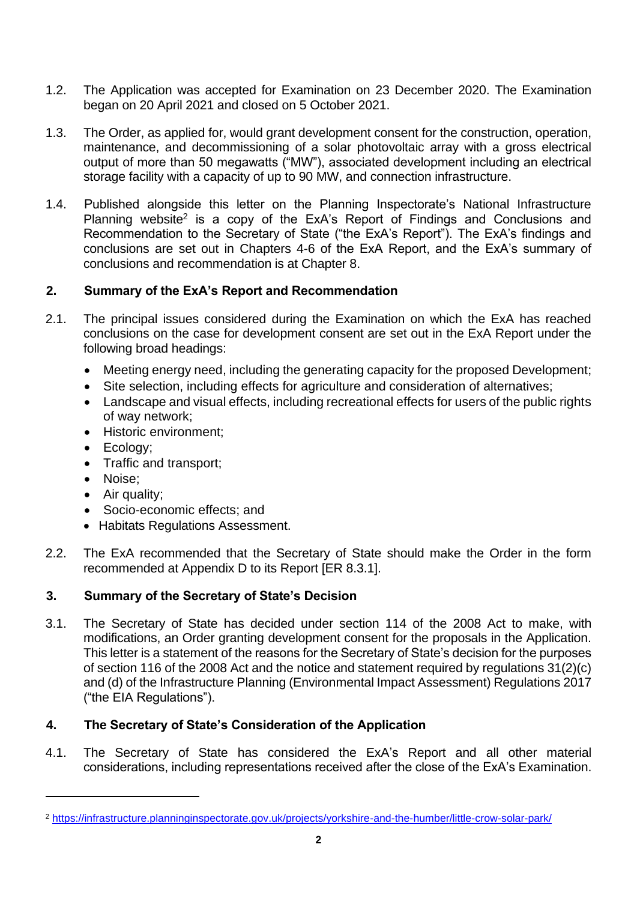- 1.2. The Application was accepted for Examination on 23 December 2020. The Examination began on 20 April 2021 and closed on 5 October 2021.
- 1.3. The Order, as applied for, would grant development consent for the construction, operation, maintenance, and decommissioning of a solar photovoltaic array with a gross electrical output of more than 50 megawatts ("MW"), associated development including an electrical storage facility with a capacity of up to 90 MW, and connection infrastructure.
- 1.4. Published alongside this letter on the Planning Inspectorate's National Infrastructure Planning website<sup>2</sup> is a copy of the ExA's Report of Findings and Conclusions and Recommendation to the Secretary of State ("the ExA's Report"). The ExA's findings and conclusions are set out in Chapters 4-6 of the ExA Report, and the ExA's summary of conclusions and recommendation is at Chapter 8.

## **2. Summary of the ExA's Report and Recommendation**

- 2.1. The principal issues considered during the Examination on which the ExA has reached conclusions on the case for development consent are set out in the ExA Report under the following broad headings:
	- Meeting energy need, including the generating capacity for the proposed Development;
	- Site selection, including effects for agriculture and consideration of alternatives;
	- Landscape and visual effects, including recreational effects for users of the public rights of way network;
	- Historic environment:
	- Ecology;
	- Traffic and transport;
	- Noise;
	- Air quality;
	- Socio-economic effects: and
	- Habitats Regulations Assessment.
- 2.2. The ExA recommended that the Secretary of State should make the Order in the form recommended at Appendix D to its Report [ER 8.3.1].

# **3. Summary of the Secretary of State's Decision**

3.1. The Secretary of State has decided under section 114 of the 2008 Act to make, with modifications, an Order granting development consent for the proposals in the Application. This letter is a statement of the reasons for the Secretary of State's decision for the purposes of section 116 of the 2008 Act and the notice and statement required by regulations 31(2)(c) and (d) of the Infrastructure Planning (Environmental Impact Assessment) Regulations 2017 ("the EIA Regulations").

# **4. The Secretary of State's Consideration of the Application**

4.1. The Secretary of State has considered the ExA's Report and all other material considerations, including representations received after the close of the ExA's Examination.

<sup>2</sup> <https://infrastructure.planninginspectorate.gov.uk/projects/yorkshire-and-the-humber/little-crow-solar-park/>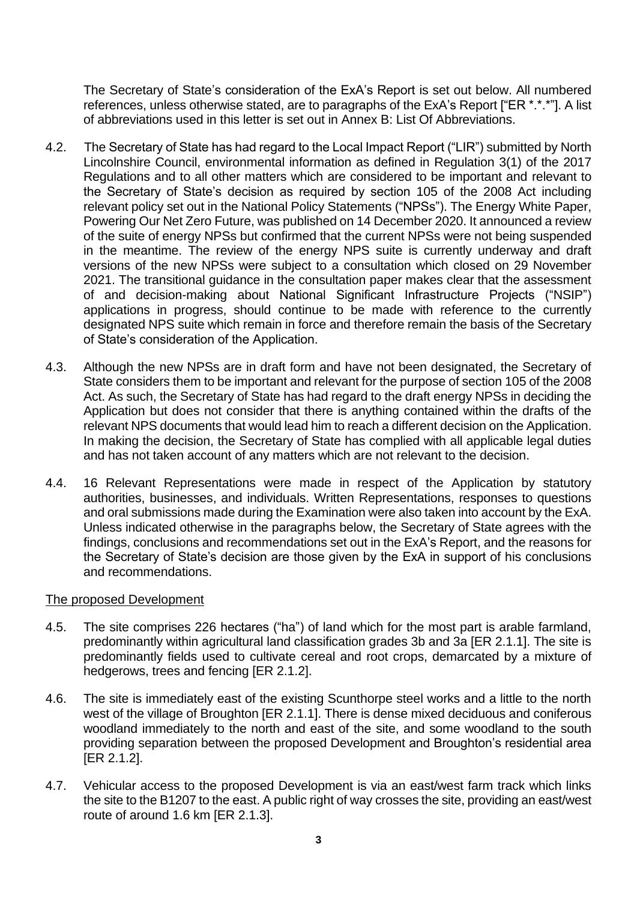The Secretary of State's consideration of the ExA's Report is set out below. All numbered references, unless otherwise stated, are to paragraphs of the ExA's Report ["ER \*.\*.\*"]. A list of abbreviations used in this letter is set out in [Annex B: List Of Abbreviations.](#page-33-0)

- 4.2. The Secretary of State has had regard to the Local Impact Report ("LIR") submitted by North Lincolnshire Council, environmental information as defined in Regulation 3(1) of the 2017 Regulations and to all other matters which are considered to be important and relevant to the Secretary of State's decision as required by section 105 of the 2008 Act including relevant policy set out in the National Policy Statements ("NPSs"). The Energy White Paper, Powering Our Net Zero Future, was published on 14 December 2020. It announced a review of the suite of energy NPSs but confirmed that the current NPSs were not being suspended in the meantime. The review of the energy NPS suite is currently underway and draft versions of the new NPSs were subject to a consultation which closed on 29 November 2021. The transitional guidance in the consultation paper makes clear that the assessment of and decision-making about National Significant Infrastructure Projects ("NSIP") applications in progress, should continue to be made with reference to the currently designated NPS suite which remain in force and therefore remain the basis of the Secretary of State's consideration of the Application.
- 4.3. Although the new NPSs are in draft form and have not been designated, the Secretary of State considers them to be important and relevant for the purpose of section 105 of the 2008 Act. As such, the Secretary of State has had regard to the draft energy NPSs in deciding the Application but does not consider that there is anything contained within the drafts of the relevant NPS documents that would lead him to reach a different decision on the Application. In making the decision, the Secretary of State has complied with all applicable legal duties and has not taken account of any matters which are not relevant to the decision.
- 4.4. 16 Relevant Representations were made in respect of the Application by statutory authorities, businesses, and individuals. Written Representations, responses to questions and oral submissions made during the Examination were also taken into account by the ExA. Unless indicated otherwise in the paragraphs below, the Secretary of State agrees with the findings, conclusions and recommendations set out in the ExA's Report, and the reasons for the Secretary of State's decision are those given by the ExA in support of his conclusions and recommendations.

#### The proposed Development

- 4.5. The site comprises 226 hectares ("ha") of land which for the most part is arable farmland, predominantly within agricultural land classification grades 3b and 3a [ER 2.1.1]. The site is predominantly fields used to cultivate cereal and root crops, demarcated by a mixture of hedgerows, trees and fencing [ER 2.1.2].
- 4.6. The site is immediately east of the existing Scunthorpe steel works and a little to the north west of the village of Broughton [ER 2.1.1]. There is dense mixed deciduous and coniferous woodland immediately to the north and east of the site, and some woodland to the south providing separation between the proposed Development and Broughton's residential area [ER 2.1.2].
- 4.7. Vehicular access to the proposed Development is via an east/west farm track which links the site to the B1207 to the east. A public right of way crosses the site, providing an east/west route of around 1.6 km [ER 2.1.3].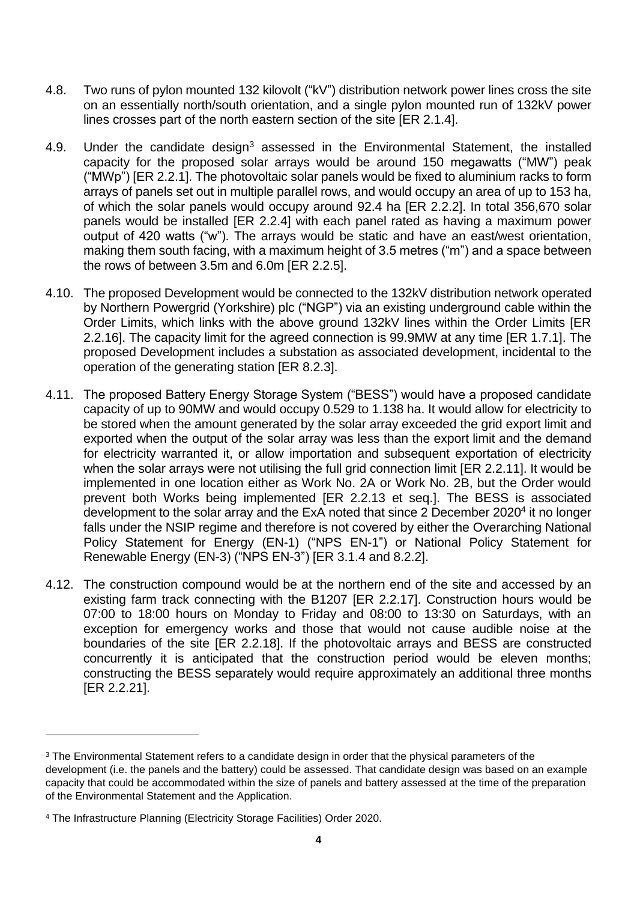- 4.8. Two runs of pylon mounted 132 kilovolt ("kV") distribution network power lines cross the site on an essentially north/south orientation, and a single pylon mounted run of 132kV power lines crosses part of the north eastern section of the site [ER 2.1.4].
- 4.9. Under the candidate design<sup>3</sup> assessed in the Environmental Statement, the installed capacity for the proposed solar arrays would be around 150 megawatts ("MW") peak ("MWp") [ER 2.2.1]. The photovoltaic solar panels would be fixed to aluminium racks to form arrays of panels set out in multiple parallel rows, and would occupy an area of up to 153 ha, of which the solar panels would occupy around 92.4 ha [ER 2.2.2]. In total 356,670 solar panels would be installed [ER 2.2.4] with each panel rated as having a maximum power output of 420 watts ("w"). The arrays would be static and have an east/west orientation, making them south facing, with a maximum height of 3.5 metres ("m") and a space between the rows of between 3.5m and 6.0m [ER 2.2.5].
- 4.10. The proposed Development would be connected to the 132kV distribution network operated by Northern Powergrid (Yorkshire) plc ("NGP") via an existing underground cable within the Order Limits, which links with the above ground 132kV lines within the Order Limits [ER 2.2.16]. The capacity limit for the agreed connection is 99.9MW at any time [ER 1.7.1]. The proposed Development includes a substation as associated development, incidental to the operation of the generating station [ER 8.2.3].
- 4.11. The proposed Battery Energy Storage System ("BESS") would have a proposed candidate capacity of up to 90MW and would occupy 0.529 to 1.138 ha. It would allow for electricity to be stored when the amount generated by the solar array exceeded the grid export limit and exported when the output of the solar array was less than the export limit and the demand for electricity warranted it, or allow importation and subsequent exportation of electricity when the solar arrays were not utilising the full grid connection limit [ER 2.2.11]. It would be implemented in one location either as Work No. 2A or Work No. 2B, but the Order would prevent both Works being implemented [ER 2.2.13 et seq.]. The BESS is associated development to the solar array and the ExA noted that since 2 December 2020<sup>4</sup> it no longer falls under the NSIP regime and therefore is not covered by either the Overarching National Policy Statement for Energy (EN-1) ("NPS EN-1") or National Policy Statement for Renewable Energy (EN-3) ("NPS EN-3") [ER 3.1.4 and 8.2.2].
- 4.12. The construction compound would be at the northern end of the site and accessed by an existing farm track connecting with the B1207 [ER 2.2.17]. Construction hours would be 07:00 to 18:00 hours on Monday to Friday and 08:00 to 13:30 on Saturdays, with an exception for emergency works and those that would not cause audible noise at the boundaries of the site [ER 2.2.18]. If the photovoltaic arrays and BESS are constructed concurrently it is anticipated that the construction period would be eleven months; constructing the BESS separately would require approximately an additional three months [ER 2.2.21].

<sup>&</sup>lt;sup>3</sup> The Environmental Statement refers to a candidate design in order that the physical parameters of the development (i.e. the panels and the battery) could be assessed. That candidate design was based on an example capacity that could be accommodated within the size of panels and battery assessed at the time of the preparation of the Environmental Statement and the Application.

<sup>4</sup> The Infrastructure Planning (Electricity Storage Facilities) Order 2020.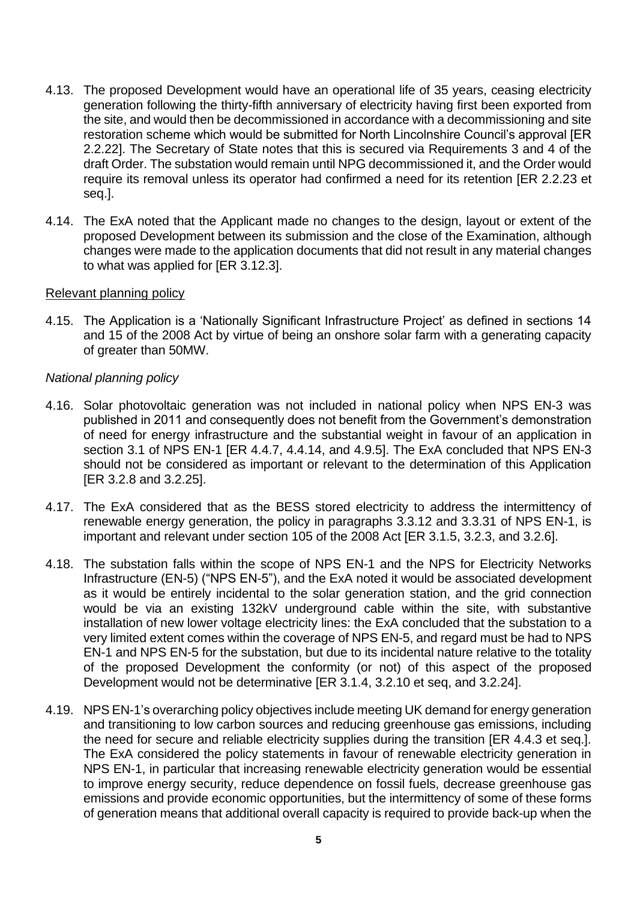- 4.13. The proposed Development would have an operational life of 35 years, ceasing electricity generation following the thirty-fifth anniversary of electricity having first been exported from the site, and would then be decommissioned in accordance with a decommissioning and site restoration scheme which would be submitted for North Lincolnshire Council's approval [ER 2.2.22]. The Secretary of State notes that this is secured via Requirements 3 and 4 of the draft Order. The substation would remain until NPG decommissioned it, and the Order would require its removal unless its operator had confirmed a need for its retention [ER 2.2.23 et seq.].
- 4.14. The ExA noted that the Applicant made no changes to the design, layout or extent of the proposed Development between its submission and the close of the Examination, although changes were made to the application documents that did not result in any material changes to what was applied for [ER 3.12.3].

#### Relevant planning policy

4.15. The Application is a 'Nationally Significant Infrastructure Project' as defined in sections 14 and 15 of the 2008 Act by virtue of being an onshore solar farm with a generating capacity of greater than 50MW.

#### *National planning policy*

- 4.16. Solar photovoltaic generation was not included in national policy when NPS EN-3 was published in 2011 and consequently does not benefit from the Government's demonstration of need for energy infrastructure and the substantial weight in favour of an application in section 3.1 of NPS EN-1 [ER 4.4.7, 4.4.14, and 4.9.5]. The ExA concluded that NPS EN-3 should not be considered as important or relevant to the determination of this Application [ER 3.2.8 and 3.2.25].
- 4.17. The ExA considered that as the BESS stored electricity to address the intermittency of renewable energy generation, the policy in paragraphs 3.3.12 and 3.3.31 of NPS EN-1, is important and relevant under section 105 of the 2008 Act [ER 3.1.5, 3.2.3, and 3.2.6].
- 4.18. The substation falls within the scope of NPS EN-1 and the NPS for Electricity Networks Infrastructure (EN-5) ("NPS EN-5"), and the ExA noted it would be associated development as it would be entirely incidental to the solar generation station, and the grid connection would be via an existing 132kV underground cable within the site, with substantive installation of new lower voltage electricity lines: the ExA concluded that the substation to a very limited extent comes within the coverage of NPS EN-5, and regard must be had to NPS EN-1 and NPS EN-5 for the substation, but due to its incidental nature relative to the totality of the proposed Development the conformity (or not) of this aspect of the proposed Development would not be determinative [ER 3.1.4, 3.2.10 et seq, and 3.2.24].
- 4.19. NPS EN-1's overarching policy objectives include meeting UK demand for energy generation and transitioning to low carbon sources and reducing greenhouse gas emissions, including the need for secure and reliable electricity supplies during the transition [ER 4.4.3 et seq.]. The ExA considered the policy statements in favour of renewable electricity generation in NPS EN-1, in particular that increasing renewable electricity generation would be essential to improve energy security, reduce dependence on fossil fuels, decrease greenhouse gas emissions and provide economic opportunities, but the intermittency of some of these forms of generation means that additional overall capacity is required to provide back-up when the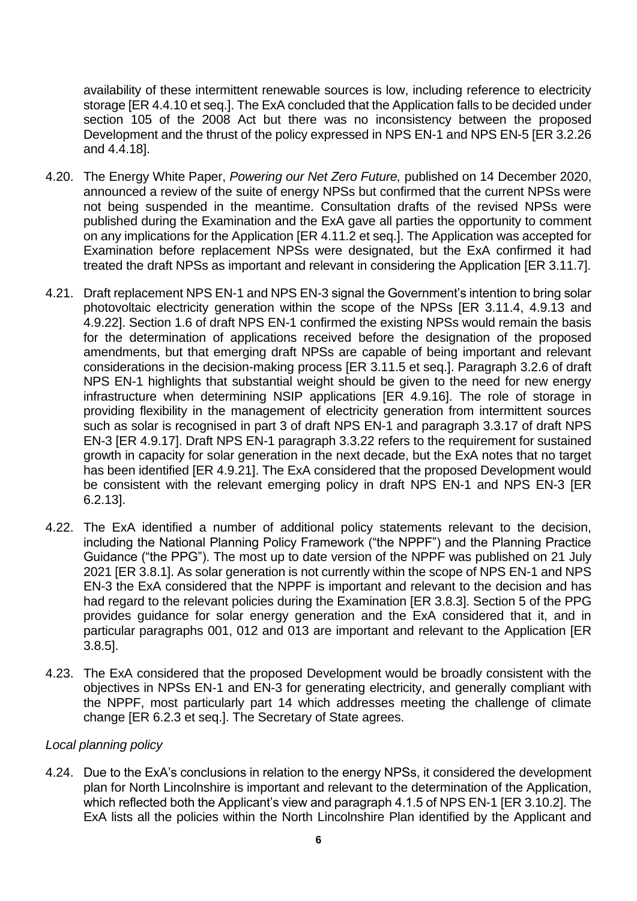availability of these intermittent renewable sources is low, including reference to electricity storage [ER 4.4.10 et seq.]. The ExA concluded that the Application falls to be decided under section 105 of the 2008 Act but there was no inconsistency between the proposed Development and the thrust of the policy expressed in NPS EN-1 and NPS EN-5 [ER 3.2.26 and 4.4.18].

- 4.20. The Energy White Paper, *Powering our Net Zero Future,* published on 14 December 2020, announced a review of the suite of energy NPSs but confirmed that the current NPSs were not being suspended in the meantime. Consultation drafts of the revised NPSs were published during the Examination and the ExA gave all parties the opportunity to comment on any implications for the Application [ER 4.11.2 et seq.]. The Application was accepted for Examination before replacement NPSs were designated, but the ExA confirmed it had treated the draft NPSs as important and relevant in considering the Application [ER 3.11.7].
- 4.21. Draft replacement NPS EN-1 and NPS EN-3 signal the Government's intention to bring solar photovoltaic electricity generation within the scope of the NPSs [ER 3.11.4, 4.9.13 and 4.9.22]. Section 1.6 of draft NPS EN-1 confirmed the existing NPSs would remain the basis for the determination of applications received before the designation of the proposed amendments, but that emerging draft NPSs are capable of being important and relevant considerations in the decision-making process [ER 3.11.5 et seq.]. Paragraph 3.2.6 of draft NPS EN-1 highlights that substantial weight should be given to the need for new energy infrastructure when determining NSIP applications [ER 4.9.16]. The role of storage in providing flexibility in the management of electricity generation from intermittent sources such as solar is recognised in part 3 of draft NPS EN-1 and paragraph 3.3.17 of draft NPS EN-3 [ER 4.9.17]. Draft NPS EN-1 paragraph 3.3.22 refers to the requirement for sustained growth in capacity for solar generation in the next decade, but the ExA notes that no target has been identified [ER 4.9.21]. The ExA considered that the proposed Development would be consistent with the relevant emerging policy in draft NPS EN-1 and NPS EN-3 [ER 6.2.13].
- 4.22. The ExA identified a number of additional policy statements relevant to the decision, including the National Planning Policy Framework ("the NPPF") and the Planning Practice Guidance ("the PPG"). The most up to date version of the NPPF was published on 21 July 2021 [ER 3.8.1]. As solar generation is not currently within the scope of NPS EN-1 and NPS EN-3 the ExA considered that the NPPF is important and relevant to the decision and has had regard to the relevant policies during the Examination [ER 3.8.3]. Section 5 of the PPG provides guidance for solar energy generation and the ExA considered that it, and in particular paragraphs 001, 012 and 013 are important and relevant to the Application [ER 3.8.5].
- 4.23. The ExA considered that the proposed Development would be broadly consistent with the objectives in NPSs EN-1 and EN-3 for generating electricity, and generally compliant with the NPPF, most particularly part 14 which addresses meeting the challenge of climate change [ER 6.2.3 et seq.]. The Secretary of State agrees.

### *Local planning policy*

4.24. Due to the ExA's conclusions in relation to the energy NPSs, it considered the development plan for North Lincolnshire is important and relevant to the determination of the Application, which reflected both the Applicant's view and paragraph 4.1.5 of NPS EN-1 [ER 3.10.2]. The ExA lists all the policies within the North Lincolnshire Plan identified by the Applicant and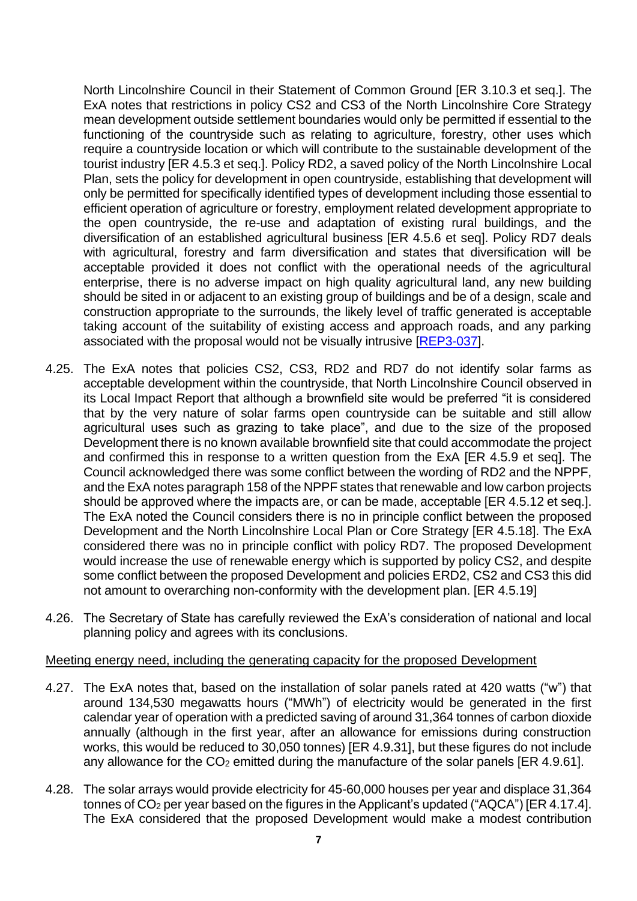North Lincolnshire Council in their Statement of Common Ground [ER 3.10.3 et seq.]. The ExA notes that restrictions in policy CS2 and CS3 of the North Lincolnshire Core Strategy mean development outside settlement boundaries would only be permitted if essential to the functioning of the countryside such as relating to agriculture, forestry, other uses which require a countryside location or which will contribute to the sustainable development of the tourist industry [ER 4.5.3 et seq.]. Policy RD2, a saved policy of the North Lincolnshire Local Plan, sets the policy for development in open countryside, establishing that development will only be permitted for specifically identified types of development including those essential to efficient operation of agriculture or forestry, employment related development appropriate to the open countryside, the re-use and adaptation of existing rural buildings, and the diversification of an established agricultural business [ER 4.5.6 et seq]. Policy RD7 deals with agricultural, forestry and farm diversification and states that diversification will be acceptable provided it does not conflict with the operational needs of the agricultural enterprise, there is no adverse impact on high quality agricultural land, any new building should be sited in or adjacent to an existing group of buildings and be of a design, scale and construction appropriate to the surrounds, the likely level of traffic generated is acceptable taking account of the suitability of existing access and approach roads, and any parking associated with the proposal would not be visually intrusive [\[REP3-037\]](https://infrastructure.planninginspectorate.gov.uk/wp-content/ipc/uploads/projects/EN010101/EN010101-000652-Deadline%203%20Submission%20-%20North%20Lincolnshire%20Council%20-%20RD7%20Agriculture,%20Forestry%20and%20Farm%20Diversification.pdf).

- 4.25. The ExA notes that policies CS2, CS3, RD2 and RD7 do not identify solar farms as acceptable development within the countryside, that North Lincolnshire Council observed in its Local Impact Report that although a brownfield site would be preferred "it is considered that by the very nature of solar farms open countryside can be suitable and still allow agricultural uses such as grazing to take place", and due to the size of the proposed Development there is no known available brownfield site that could accommodate the project and confirmed this in response to a written question from the ExA [ER 4.5.9 et seq]. The Council acknowledged there was some conflict between the wording of RD2 and the NPPF, and the ExA notes paragraph 158 of the NPPF states that renewable and low carbon projects should be approved where the impacts are, or can be made, acceptable [ER 4.5.12 et seq.]. The ExA noted the Council considers there is no in principle conflict between the proposed Development and the North Lincolnshire Local Plan or Core Strategy [ER 4.5.18]. The ExA considered there was no in principle conflict with policy RD7. The proposed Development would increase the use of renewable energy which is supported by policy CS2, and despite some conflict between the proposed Development and policies ERD2, CS2 and CS3 this did not amount to overarching non-conformity with the development plan. [ER 4.5.19]
- 4.26. The Secretary of State has carefully reviewed the ExA's consideration of national and local planning policy and agrees with its conclusions.

#### Meeting energy need, including the generating capacity for the proposed Development

- 4.27. The ExA notes that, based on the installation of solar panels rated at 420 watts ("w") that around 134,530 megawatts hours ("MWh") of electricity would be generated in the first calendar year of operation with a predicted saving of around 31,364 tonnes of carbon dioxide annually (although in the first year, after an allowance for emissions during construction works, this would be reduced to 30,050 tonnes) [ER 4.9.31], but these figures do not include any allowance for the CO<sub>2</sub> emitted during the manufacture of the solar panels [ER 4.9.61].
- 4.28. The solar arrays would provide electricity for 45-60,000 houses per year and displace 31,364 tonnes of CO<sup>2</sup> per year based on the figures in the Applicant's updated ("AQCA") [ER 4.17.4]. The ExA considered that the proposed Development would make a modest contribution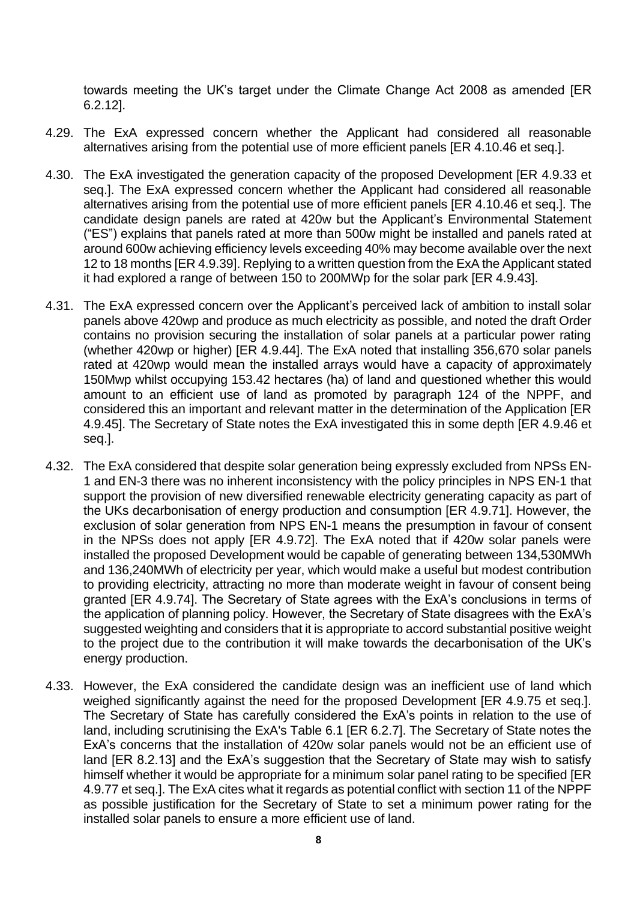towards meeting the UK's target under the Climate Change Act 2008 as amended [ER 6.2.12].

- 4.29. The ExA expressed concern whether the Applicant had considered all reasonable alternatives arising from the potential use of more efficient panels [ER 4.10.46 et seq.].
- 4.30. The ExA investigated the generation capacity of the proposed Development [ER 4.9.33 et seq.]. The ExA expressed concern whether the Applicant had considered all reasonable alternatives arising from the potential use of more efficient panels [ER 4.10.46 et seq.]. The candidate design panels are rated at 420w but the Applicant's Environmental Statement ("ES") explains that panels rated at more than 500w might be installed and panels rated at around 600w achieving efficiency levels exceeding 40% may become available over the next 12 to 18 months [ER 4.9.39]. Replying to a written question from the ExA the Applicant stated it had explored a range of between 150 to 200MWp for the solar park [ER 4.9.43].
- 4.31. The ExA expressed concern over the Applicant's perceived lack of ambition to install solar panels above 420wp and produce as much electricity as possible, and noted the draft Order contains no provision securing the installation of solar panels at a particular power rating (whether 420wp or higher) [ER 4.9.44]. The ExA noted that installing 356,670 solar panels rated at 420wp would mean the installed arrays would have a capacity of approximately 150Mwp whilst occupying 153.42 hectares (ha) of land and questioned whether this would amount to an efficient use of land as promoted by paragraph 124 of the NPPF, and considered this an important and relevant matter in the determination of the Application [ER 4.9.45]. The Secretary of State notes the ExA investigated this in some depth [ER 4.9.46 et seq.].
- 4.32. The ExA considered that despite solar generation being expressly excluded from NPSs EN-1 and EN-3 there was no inherent inconsistency with the policy principles in NPS EN-1 that support the provision of new diversified renewable electricity generating capacity as part of the UKs decarbonisation of energy production and consumption [ER 4.9.71]. However, the exclusion of solar generation from NPS EN-1 means the presumption in favour of consent in the NPSs does not apply [ER 4.9.72]. The ExA noted that if 420w solar panels were installed the proposed Development would be capable of generating between 134,530MWh and 136,240MWh of electricity per year, which would make a useful but modest contribution to providing electricity, attracting no more than moderate weight in favour of consent being granted [ER 4.9.74]. The Secretary of State agrees with the ExA's conclusions in terms of the application of planning policy. However, the Secretary of State disagrees with the ExA's suggested weighting and considers that it is appropriate to accord substantial positive weight to the project due to the contribution it will make towards the decarbonisation of the UK's energy production.
- 4.33. However, the ExA considered the candidate design was an inefficient use of land which weighed significantly against the need for the proposed Development [ER 4.9.75 et seq.]. The Secretary of State has carefully considered the ExA's points in relation to the use of land, including scrutinising the ExA's Table 6.1 [ER 6.2.7]. The Secretary of State notes the ExA's concerns that the installation of 420w solar panels would not be an efficient use of land [ER 8.2.13] and the ExA's suggestion that the Secretary of State may wish to satisfy himself whether it would be appropriate for a minimum solar panel rating to be specified [ER 4.9.77 et seq.]. The ExA cites what it regards as potential conflict with section 11 of the NPPF as possible justification for the Secretary of State to set a minimum power rating for the installed solar panels to ensure a more efficient use of land.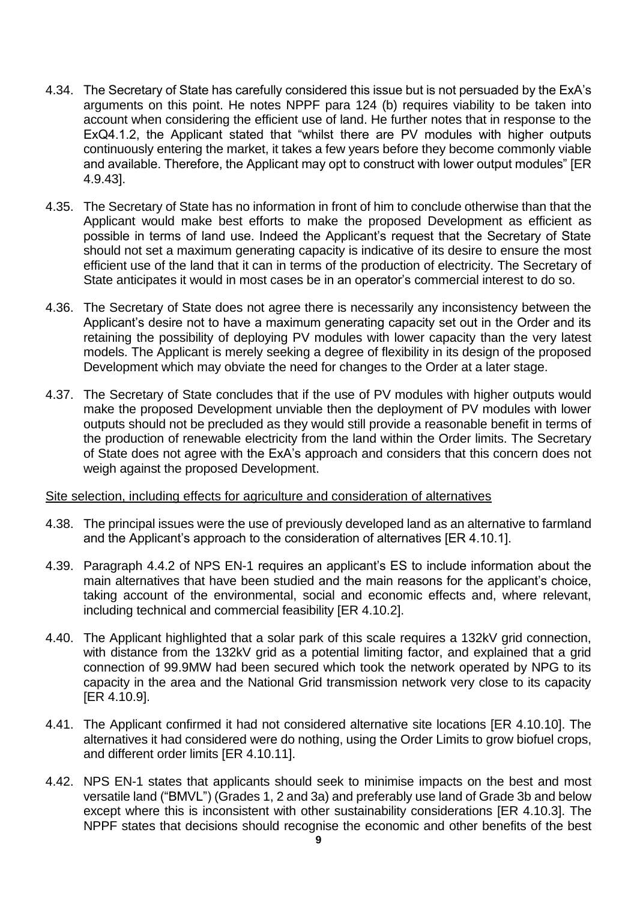- 4.34. The Secretary of State has carefully considered this issue but is not persuaded by the ExA's arguments on this point. He notes NPPF para 124 (b) requires viability to be taken into account when considering the efficient use of land. He further notes that in response to the ExQ4.1.2, the Applicant stated that "whilst there are PV modules with higher outputs continuously entering the market, it takes a few years before they become commonly viable and available. Therefore, the Applicant may opt to construct with lower output modules" [ER 4.9.43].
- 4.35. The Secretary of State has no information in front of him to conclude otherwise than that the Applicant would make best efforts to make the proposed Development as efficient as possible in terms of land use. Indeed the Applicant's request that the Secretary of State should not set a maximum generating capacity is indicative of its desire to ensure the most efficient use of the land that it can in terms of the production of electricity. The Secretary of State anticipates it would in most cases be in an operator's commercial interest to do so.
- 4.36. The Secretary of State does not agree there is necessarily any inconsistency between the Applicant's desire not to have a maximum generating capacity set out in the Order and its retaining the possibility of deploying PV modules with lower capacity than the very latest models. The Applicant is merely seeking a degree of flexibility in its design of the proposed Development which may obviate the need for changes to the Order at a later stage.
- 4.37. The Secretary of State concludes that if the use of PV modules with higher outputs would make the proposed Development unviable then the deployment of PV modules with lower outputs should not be precluded as they would still provide a reasonable benefit in terms of the production of renewable electricity from the land within the Order limits. The Secretary of State does not agree with the ExA's approach and considers that this concern does not weigh against the proposed Development.

#### Site selection, including effects for agriculture and consideration of alternatives

- 4.38. The principal issues were the use of previously developed land as an alternative to farmland and the Applicant's approach to the consideration of alternatives [ER 4.10.1].
- 4.39. Paragraph 4.4.2 of NPS EN-1 requires an applicant's ES to include information about the main alternatives that have been studied and the main reasons for the applicant's choice, taking account of the environmental, social and economic effects and, where relevant, including technical and commercial feasibility [ER 4.10.2].
- 4.40. The Applicant highlighted that a solar park of this scale requires a 132kV grid connection, with distance from the 132kV grid as a potential limiting factor, and explained that a grid connection of 99.9MW had been secured which took the network operated by NPG to its capacity in the area and the National Grid transmission network very close to its capacity [ER 4.10.9].
- 4.41. The Applicant confirmed it had not considered alternative site locations [ER 4.10.10]. The alternatives it had considered were do nothing, using the Order Limits to grow biofuel crops, and different order limits [ER 4.10.11].
- 4.42. NPS EN-1 states that applicants should seek to minimise impacts on the best and most versatile land ("BMVL") (Grades 1, 2 and 3a) and preferably use land of Grade 3b and below except where this is inconsistent with other sustainability considerations [ER 4.10.3]. The NPPF states that decisions should recognise the economic and other benefits of the best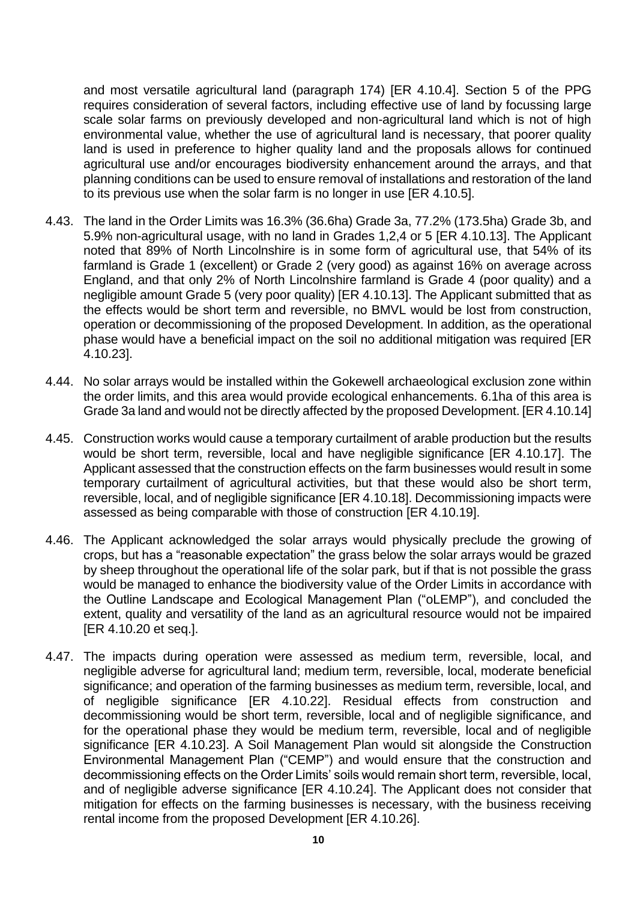and most versatile agricultural land (paragraph 174) [ER 4.10.4]. Section 5 of the PPG requires consideration of several factors, including effective use of land by focussing large scale solar farms on previously developed and non-agricultural land which is not of high environmental value, whether the use of agricultural land is necessary, that poorer quality land is used in preference to higher quality land and the proposals allows for continued agricultural use and/or encourages biodiversity enhancement around the arrays, and that planning conditions can be used to ensure removal of installations and restoration of the land to its previous use when the solar farm is no longer in use [ER 4.10.5].

- 4.43. The land in the Order Limits was 16.3% (36.6ha) Grade 3a, 77.2% (173.5ha) Grade 3b, and 5.9% non-agricultural usage, with no land in Grades 1,2,4 or 5 [ER 4.10.13]. The Applicant noted that 89% of North Lincolnshire is in some form of agricultural use, that 54% of its farmland is Grade 1 (excellent) or Grade 2 (very good) as against 16% on average across England, and that only 2% of North Lincolnshire farmland is Grade 4 (poor quality) and a negligible amount Grade 5 (very poor quality) [ER 4.10.13]. The Applicant submitted that as the effects would be short term and reversible, no BMVL would be lost from construction, operation or decommissioning of the proposed Development. In addition, as the operational phase would have a beneficial impact on the soil no additional mitigation was required [ER 4.10.23].
- 4.44. No solar arrays would be installed within the Gokewell archaeological exclusion zone within the order limits, and this area would provide ecological enhancements. 6.1ha of this area is Grade 3a land and would not be directly affected by the proposed Development. [ER 4.10.14]
- 4.45. Construction works would cause a temporary curtailment of arable production but the results would be short term, reversible, local and have negligible significance [ER 4.10.17]. The Applicant assessed that the construction effects on the farm businesses would result in some temporary curtailment of agricultural activities, but that these would also be short term, reversible, local, and of negligible significance [ER 4.10.18]. Decommissioning impacts were assessed as being comparable with those of construction [ER 4.10.19].
- 4.46. The Applicant acknowledged the solar arrays would physically preclude the growing of crops, but has a "reasonable expectation" the grass below the solar arrays would be grazed by sheep throughout the operational life of the solar park, but if that is not possible the grass would be managed to enhance the biodiversity value of the Order Limits in accordance with the Outline Landscape and Ecological Management Plan ("oLEMP"), and concluded the extent, quality and versatility of the land as an agricultural resource would not be impaired [ER 4.10.20 et seq.].
- 4.47. The impacts during operation were assessed as medium term, reversible, local, and negligible adverse for agricultural land; medium term, reversible, local, moderate beneficial significance; and operation of the farming businesses as medium term, reversible, local, and of negligible significance [ER 4.10.22]. Residual effects from construction and decommissioning would be short term, reversible, local and of negligible significance, and for the operational phase they would be medium term, reversible, local and of negligible significance [ER 4.10.23]. A Soil Management Plan would sit alongside the Construction Environmental Management Plan ("CEMP") and would ensure that the construction and decommissioning effects on the Order Limits' soils would remain short term, reversible, local, and of negligible adverse significance [ER 4.10.24]. The Applicant does not consider that mitigation for effects on the farming businesses is necessary, with the business receiving rental income from the proposed Development [ER 4.10.26].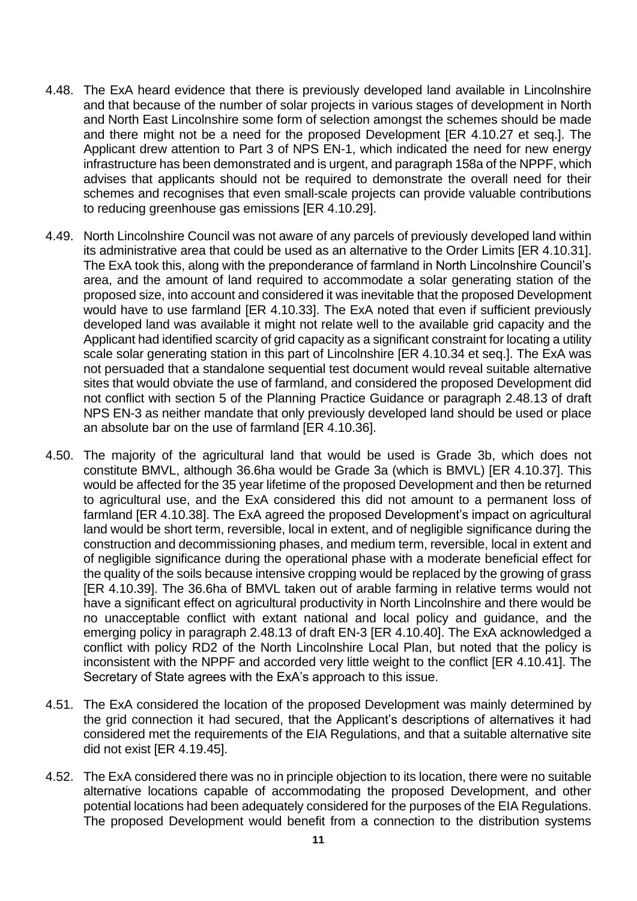- 4.48. The ExA heard evidence that there is previously developed land available in Lincolnshire and that because of the number of solar projects in various stages of development in North and North East Lincolnshire some form of selection amongst the schemes should be made and there might not be a need for the proposed Development [ER 4.10.27 et seq.]. The Applicant drew attention to Part 3 of NPS EN-1, which indicated the need for new energy infrastructure has been demonstrated and is urgent, and paragraph 158a of the NPPF, which advises that applicants should not be required to demonstrate the overall need for their schemes and recognises that even small-scale projects can provide valuable contributions to reducing greenhouse gas emissions [ER 4.10.29].
- 4.49. North Lincolnshire Council was not aware of any parcels of previously developed land within its administrative area that could be used as an alternative to the Order Limits [ER 4.10.31]. The ExA took this, along with the preponderance of farmland in North Lincolnshire Council's area, and the amount of land required to accommodate a solar generating station of the proposed size, into account and considered it was inevitable that the proposed Development would have to use farmland [ER 4.10.33]. The ExA noted that even if sufficient previously developed land was available it might not relate well to the available grid capacity and the Applicant had identified scarcity of grid capacity as a significant constraint for locating a utility scale solar generating station in this part of Lincolnshire [ER 4.10.34 et seq.]. The ExA was not persuaded that a standalone sequential test document would reveal suitable alternative sites that would obviate the use of farmland, and considered the proposed Development did not conflict with section 5 of the Planning Practice Guidance or paragraph 2.48.13 of draft NPS EN-3 as neither mandate that only previously developed land should be used or place an absolute bar on the use of farmland [ER 4.10.36].
- 4.50. The majority of the agricultural land that would be used is Grade 3b, which does not constitute BMVL, although 36.6ha would be Grade 3a (which is BMVL) [ER 4.10.37]. This would be affected for the 35 year lifetime of the proposed Development and then be returned to agricultural use, and the ExA considered this did not amount to a permanent loss of farmland [ER 4.10.38]. The ExA agreed the proposed Development's impact on agricultural land would be short term, reversible, local in extent, and of negligible significance during the construction and decommissioning phases, and medium term, reversible, local in extent and of negligible significance during the operational phase with a moderate beneficial effect for the quality of the soils because intensive cropping would be replaced by the growing of grass [ER 4.10.39]. The 36.6ha of BMVL taken out of arable farming in relative terms would not have a significant effect on agricultural productivity in North Lincolnshire and there would be no unacceptable conflict with extant national and local policy and guidance, and the emerging policy in paragraph 2.48.13 of draft EN-3 [ER 4.10.40]. The ExA acknowledged a conflict with policy RD2 of the North Lincolnshire Local Plan, but noted that the policy is inconsistent with the NPPF and accorded very little weight to the conflict [ER 4.10.41]. The Secretary of State agrees with the ExA's approach to this issue.
- 4.51. The ExA considered the location of the proposed Development was mainly determined by the grid connection it had secured, that the Applicant's descriptions of alternatives it had considered met the requirements of the EIA Regulations, and that a suitable alternative site did not exist [ER 4.19.45].
- 4.52. The ExA considered there was no in principle objection to its location, there were no suitable alternative locations capable of accommodating the proposed Development, and other potential locations had been adequately considered for the purposes of the EIA Regulations. The proposed Development would benefit from a connection to the distribution systems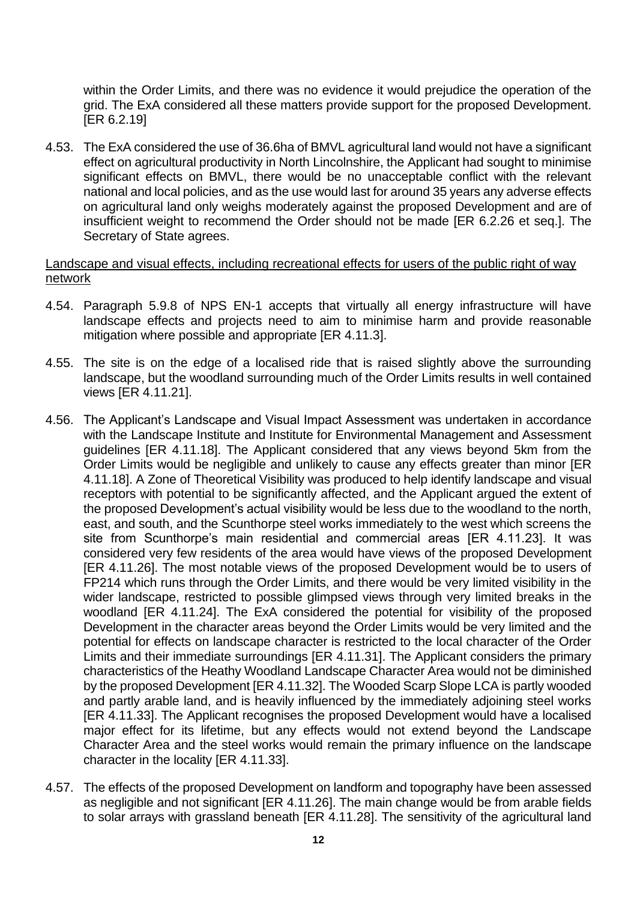within the Order Limits, and there was no evidence it would prejudice the operation of the grid. The ExA considered all these matters provide support for the proposed Development. [ER 6.2.19]

4.53. The ExA considered the use of 36.6ha of BMVL agricultural land would not have a significant effect on agricultural productivity in North Lincolnshire, the Applicant had sought to minimise significant effects on BMVL, there would be no unacceptable conflict with the relevant national and local policies, and as the use would last for around 35 years any adverse effects on agricultural land only weighs moderately against the proposed Development and are of insufficient weight to recommend the Order should not be made [ER 6.2.26 et seq.]. The Secretary of State agrees.

#### Landscape and visual effects, including recreational effects for users of the public right of way network

- 4.54. Paragraph 5.9.8 of NPS EN-1 accepts that virtually all energy infrastructure will have landscape effects and projects need to aim to minimise harm and provide reasonable mitigation where possible and appropriate [ER 4.11.3].
- 4.55. The site is on the edge of a localised ride that is raised slightly above the surrounding landscape, but the woodland surrounding much of the Order Limits results in well contained views [ER 4.11.21].
- 4.56. The Applicant's Landscape and Visual Impact Assessment was undertaken in accordance with the Landscape Institute and Institute for Environmental Management and Assessment guidelines [ER 4.11.18]. The Applicant considered that any views beyond 5km from the Order Limits would be negligible and unlikely to cause any effects greater than minor [ER 4.11.18]. A Zone of Theoretical Visibility was produced to help identify landscape and visual receptors with potential to be significantly affected, and the Applicant argued the extent of the proposed Development's actual visibility would be less due to the woodland to the north, east, and south, and the Scunthorpe steel works immediately to the west which screens the site from Scunthorpe's main residential and commercial areas [ER 4.11.23]. It was considered very few residents of the area would have views of the proposed Development [ER 4.11.26]. The most notable views of the proposed Development would be to users of FP214 which runs through the Order Limits, and there would be very limited visibility in the wider landscape, restricted to possible glimpsed views through very limited breaks in the woodland [ER 4.11.24]. The ExA considered the potential for visibility of the proposed Development in the character areas beyond the Order Limits would be very limited and the potential for effects on landscape character is restricted to the local character of the Order Limits and their immediate surroundings [ER 4.11.31]. The Applicant considers the primary characteristics of the Heathy Woodland Landscape Character Area would not be diminished by the proposed Development [ER 4.11.32]. The Wooded Scarp Slope LCA is partly wooded and partly arable land, and is heavily influenced by the immediately adjoining steel works [ER 4.11.33]. The Applicant recognises the proposed Development would have a localised major effect for its lifetime, but any effects would not extend beyond the Landscape Character Area and the steel works would remain the primary influence on the landscape character in the locality [ER 4.11.33].
- 4.57. The effects of the proposed Development on landform and topography have been assessed as negligible and not significant [ER 4.11.26]. The main change would be from arable fields to solar arrays with grassland beneath [ER 4.11.28]. The sensitivity of the agricultural land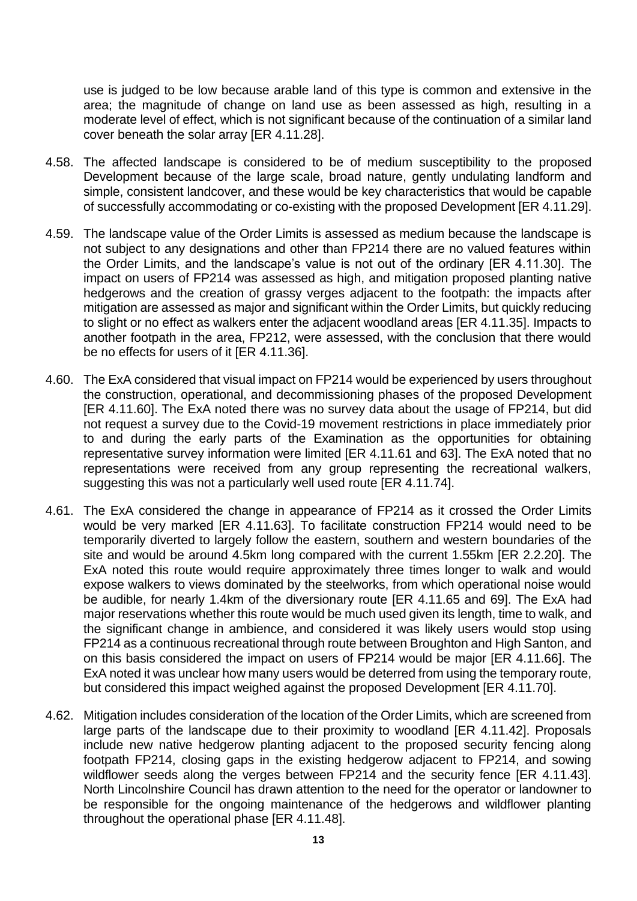use is judged to be low because arable land of this type is common and extensive in the area; the magnitude of change on land use as been assessed as high, resulting in a moderate level of effect, which is not significant because of the continuation of a similar land cover beneath the solar array [ER 4.11.28].

- 4.58. The affected landscape is considered to be of medium susceptibility to the proposed Development because of the large scale, broad nature, gently undulating landform and simple, consistent landcover, and these would be key characteristics that would be capable of successfully accommodating or co-existing with the proposed Development [ER 4.11.29].
- 4.59. The landscape value of the Order Limits is assessed as medium because the landscape is not subject to any designations and other than FP214 there are no valued features within the Order Limits, and the landscape's value is not out of the ordinary [ER 4.11.30]. The impact on users of FP214 was assessed as high, and mitigation proposed planting native hedgerows and the creation of grassy verges adjacent to the footpath: the impacts after mitigation are assessed as major and significant within the Order Limits, but quickly reducing to slight or no effect as walkers enter the adjacent woodland areas [ER 4.11.35]. Impacts to another footpath in the area, FP212, were assessed, with the conclusion that there would be no effects for users of it [ER 4.11.36].
- 4.60. The ExA considered that visual impact on FP214 would be experienced by users throughout the construction, operational, and decommissioning phases of the proposed Development [ER 4.11.60]. The ExA noted there was no survey data about the usage of FP214, but did not request a survey due to the Covid-19 movement restrictions in place immediately prior to and during the early parts of the Examination as the opportunities for obtaining representative survey information were limited [ER 4.11.61 and 63]. The ExA noted that no representations were received from any group representing the recreational walkers, suggesting this was not a particularly well used route [ER 4.11.74].
- 4.61. The ExA considered the change in appearance of FP214 as it crossed the Order Limits would be very marked [ER 4.11.63]. To facilitate construction FP214 would need to be temporarily diverted to largely follow the eastern, southern and western boundaries of the site and would be around 4.5km long compared with the current 1.55km [ER 2.2.20]. The ExA noted this route would require approximately three times longer to walk and would expose walkers to views dominated by the steelworks, from which operational noise would be audible, for nearly 1.4km of the diversionary route [ER 4.11.65 and 69]. The ExA had major reservations whether this route would be much used given its length, time to walk, and the significant change in ambience, and considered it was likely users would stop using FP214 as a continuous recreational through route between Broughton and High Santon, and on this basis considered the impact on users of FP214 would be major [ER 4.11.66]. The ExA noted it was unclear how many users would be deterred from using the temporary route, but considered this impact weighed against the proposed Development [ER 4.11.70].
- 4.62. Mitigation includes consideration of the location of the Order Limits, which are screened from large parts of the landscape due to their proximity to woodland [ER 4.11.42]. Proposals include new native hedgerow planting adjacent to the proposed security fencing along footpath FP214, closing gaps in the existing hedgerow adjacent to FP214, and sowing wildflower seeds along the verges between FP214 and the security fence [ER 4.11.43]. North Lincolnshire Council has drawn attention to the need for the operator or landowner to be responsible for the ongoing maintenance of the hedgerows and wildflower planting throughout the operational phase [ER 4.11.48].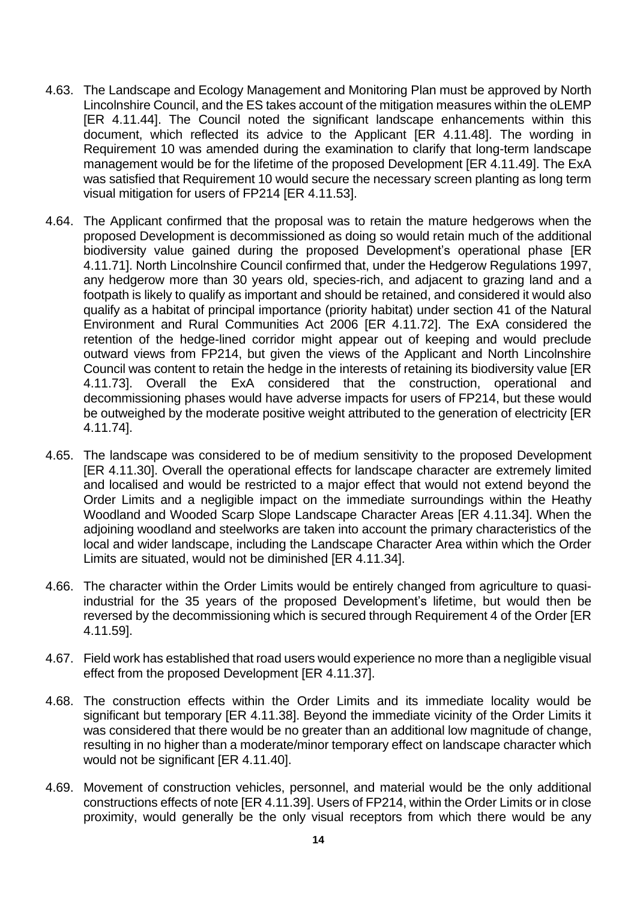- 4.63. The Landscape and Ecology Management and Monitoring Plan must be approved by North Lincolnshire Council, and the ES takes account of the mitigation measures within the oLEMP [ER 4.11.44]. The Council noted the significant landscape enhancements within this document, which reflected its advice to the Applicant [ER 4.11.48]. The wording in Requirement 10 was amended during the examination to clarify that long-term landscape management would be for the lifetime of the proposed Development [ER 4.11.49]. The ExA was satisfied that Requirement 10 would secure the necessary screen planting as long term visual mitigation for users of FP214 [ER 4.11.53].
- 4.64. The Applicant confirmed that the proposal was to retain the mature hedgerows when the proposed Development is decommissioned as doing so would retain much of the additional biodiversity value gained during the proposed Development's operational phase [ER 4.11.71]. North Lincolnshire Council confirmed that, under the Hedgerow Regulations 1997, any hedgerow more than 30 years old, species-rich, and adjacent to grazing land and a footpath is likely to qualify as important and should be retained, and considered it would also qualify as a habitat of principal importance (priority habitat) under section 41 of the Natural Environment and Rural Communities Act 2006 [ER 4.11.72]. The ExA considered the retention of the hedge-lined corridor might appear out of keeping and would preclude outward views from FP214, but given the views of the Applicant and North Lincolnshire Council was content to retain the hedge in the interests of retaining its biodiversity value [ER 4.11.73]. Overall the ExA considered that the construction, operational and decommissioning phases would have adverse impacts for users of FP214, but these would be outweighed by the moderate positive weight attributed to the generation of electricity [ER 4.11.74].
- 4.65. The landscape was considered to be of medium sensitivity to the proposed Development [ER 4.11.30]. Overall the operational effects for landscape character are extremely limited and localised and would be restricted to a major effect that would not extend beyond the Order Limits and a negligible impact on the immediate surroundings within the Heathy Woodland and Wooded Scarp Slope Landscape Character Areas [ER 4.11.34]. When the adjoining woodland and steelworks are taken into account the primary characteristics of the local and wider landscape, including the Landscape Character Area within which the Order Limits are situated, would not be diminished [ER 4.11.34].
- 4.66. The character within the Order Limits would be entirely changed from agriculture to quasiindustrial for the 35 years of the proposed Development's lifetime, but would then be reversed by the decommissioning which is secured through Requirement 4 of the Order [ER 4.11.59].
- 4.67. Field work has established that road users would experience no more than a negligible visual effect from the proposed Development [ER 4.11.37].
- 4.68. The construction effects within the Order Limits and its immediate locality would be significant but temporary [ER 4.11.38]. Beyond the immediate vicinity of the Order Limits it was considered that there would be no greater than an additional low magnitude of change, resulting in no higher than a moderate/minor temporary effect on landscape character which would not be significant [ER 4.11.40].
- 4.69. Movement of construction vehicles, personnel, and material would be the only additional constructions effects of note [ER 4.11.39]. Users of FP214, within the Order Limits or in close proximity, would generally be the only visual receptors from which there would be any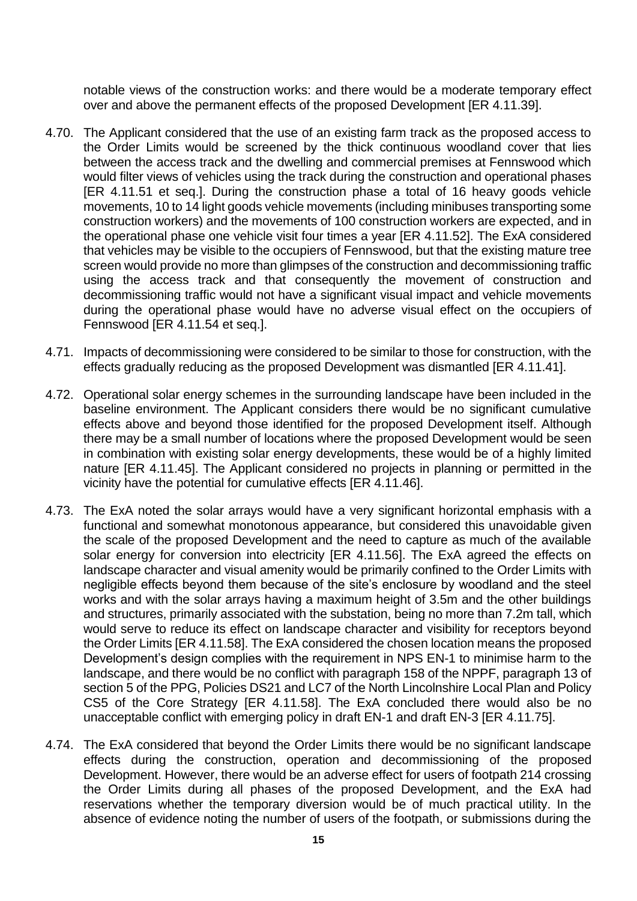notable views of the construction works: and there would be a moderate temporary effect over and above the permanent effects of the proposed Development [ER 4.11.39].

- 4.70. The Applicant considered that the use of an existing farm track as the proposed access to the Order Limits would be screened by the thick continuous woodland cover that lies between the access track and the dwelling and commercial premises at Fennswood which would filter views of vehicles using the track during the construction and operational phases [ER 4.11.51 et seq.]. During the construction phase a total of 16 heavy goods vehicle movements, 10 to 14 light goods vehicle movements (including minibuses transporting some construction workers) and the movements of 100 construction workers are expected, and in the operational phase one vehicle visit four times a year [ER 4.11.52]. The ExA considered that vehicles may be visible to the occupiers of Fennswood, but that the existing mature tree screen would provide no more than glimpses of the construction and decommissioning traffic using the access track and that consequently the movement of construction and decommissioning traffic would not have a significant visual impact and vehicle movements during the operational phase would have no adverse visual effect on the occupiers of Fennswood [ER 4.11.54 et seq.].
- 4.71. Impacts of decommissioning were considered to be similar to those for construction, with the effects gradually reducing as the proposed Development was dismantled [ER 4.11.41].
- 4.72. Operational solar energy schemes in the surrounding landscape have been included in the baseline environment. The Applicant considers there would be no significant cumulative effects above and beyond those identified for the proposed Development itself. Although there may be a small number of locations where the proposed Development would be seen in combination with existing solar energy developments, these would be of a highly limited nature [ER 4.11.45]. The Applicant considered no projects in planning or permitted in the vicinity have the potential for cumulative effects [ER 4.11.46].
- 4.73. The ExA noted the solar arrays would have a very significant horizontal emphasis with a functional and somewhat monotonous appearance, but considered this unavoidable given the scale of the proposed Development and the need to capture as much of the available solar energy for conversion into electricity [ER 4.11.56]. The ExA agreed the effects on landscape character and visual amenity would be primarily confined to the Order Limits with negligible effects beyond them because of the site's enclosure by woodland and the steel works and with the solar arrays having a maximum height of 3.5m and the other buildings and structures, primarily associated with the substation, being no more than 7.2m tall, which would serve to reduce its effect on landscape character and visibility for receptors beyond the Order Limits [ER 4.11.58]. The ExA considered the chosen location means the proposed Development's design complies with the requirement in NPS EN-1 to minimise harm to the landscape, and there would be no conflict with paragraph 158 of the NPPF, paragraph 13 of section 5 of the PPG, Policies DS21 and LC7 of the North Lincolnshire Local Plan and Policy CS5 of the Core Strategy [ER 4.11.58]. The ExA concluded there would also be no unacceptable conflict with emerging policy in draft EN-1 and draft EN-3 [ER 4.11.75].
- 4.74. The ExA considered that beyond the Order Limits there would be no significant landscape effects during the construction, operation and decommissioning of the proposed Development. However, there would be an adverse effect for users of footpath 214 crossing the Order Limits during all phases of the proposed Development, and the ExA had reservations whether the temporary diversion would be of much practical utility. In the absence of evidence noting the number of users of the footpath, or submissions during the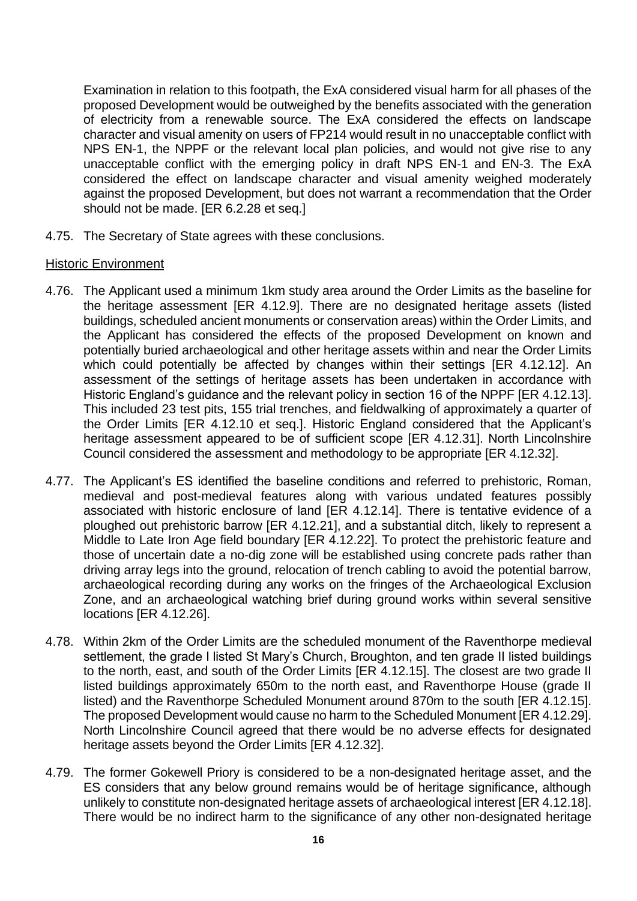Examination in relation to this footpath, the ExA considered visual harm for all phases of the proposed Development would be outweighed by the benefits associated with the generation of electricity from a renewable source. The ExA considered the effects on landscape character and visual amenity on users of FP214 would result in no unacceptable conflict with NPS EN-1, the NPPF or the relevant local plan policies, and would not give rise to any unacceptable conflict with the emerging policy in draft NPS EN-1 and EN-3. The ExA considered the effect on landscape character and visual amenity weighed moderately against the proposed Development, but does not warrant a recommendation that the Order should not be made. [ER 6.2.28 et seq.]

4.75. The Secretary of State agrees with these conclusions.

#### Historic Environment

- 4.76. The Applicant used a minimum 1km study area around the Order Limits as the baseline for the heritage assessment [ER 4.12.9]. There are no designated heritage assets (listed buildings, scheduled ancient monuments or conservation areas) within the Order Limits, and the Applicant has considered the effects of the proposed Development on known and potentially buried archaeological and other heritage assets within and near the Order Limits which could potentially be affected by changes within their settings [ER 4.12.12]. An assessment of the settings of heritage assets has been undertaken in accordance with Historic England's guidance and the relevant policy in section 16 of the NPPF [ER 4.12.13]. This included 23 test pits, 155 trial trenches, and fieldwalking of approximately a quarter of the Order Limits [ER 4.12.10 et seq.]. Historic England considered that the Applicant's heritage assessment appeared to be of sufficient scope [ER 4.12.31]. North Lincolnshire Council considered the assessment and methodology to be appropriate [ER 4.12.32].
- 4.77. The Applicant's ES identified the baseline conditions and referred to prehistoric, Roman, medieval and post-medieval features along with various undated features possibly associated with historic enclosure of land [ER 4.12.14]. There is tentative evidence of a ploughed out prehistoric barrow [ER 4.12.21], and a substantial ditch, likely to represent a Middle to Late Iron Age field boundary [ER 4.12.22]. To protect the prehistoric feature and those of uncertain date a no-dig zone will be established using concrete pads rather than driving array legs into the ground, relocation of trench cabling to avoid the potential barrow, archaeological recording during any works on the fringes of the Archaeological Exclusion Zone, and an archaeological watching brief during ground works within several sensitive locations [ER 4.12.26].
- 4.78. Within 2km of the Order Limits are the scheduled monument of the Raventhorpe medieval settlement, the grade I listed St Mary's Church, Broughton, and ten grade II listed buildings to the north, east, and south of the Order Limits [ER 4.12.15]. The closest are two grade II listed buildings approximately 650m to the north east, and Raventhorpe House (grade II listed) and the Raventhorpe Scheduled Monument around 870m to the south [ER 4.12.15]. The proposed Development would cause no harm to the Scheduled Monument [ER 4.12.29]. North Lincolnshire Council agreed that there would be no adverse effects for designated heritage assets beyond the Order Limits [ER 4.12.32].
- 4.79. The former Gokewell Priory is considered to be a non-designated heritage asset, and the ES considers that any below ground remains would be of heritage significance, although unlikely to constitute non-designated heritage assets of archaeological interest [ER 4.12.18]. There would be no indirect harm to the significance of any other non-designated heritage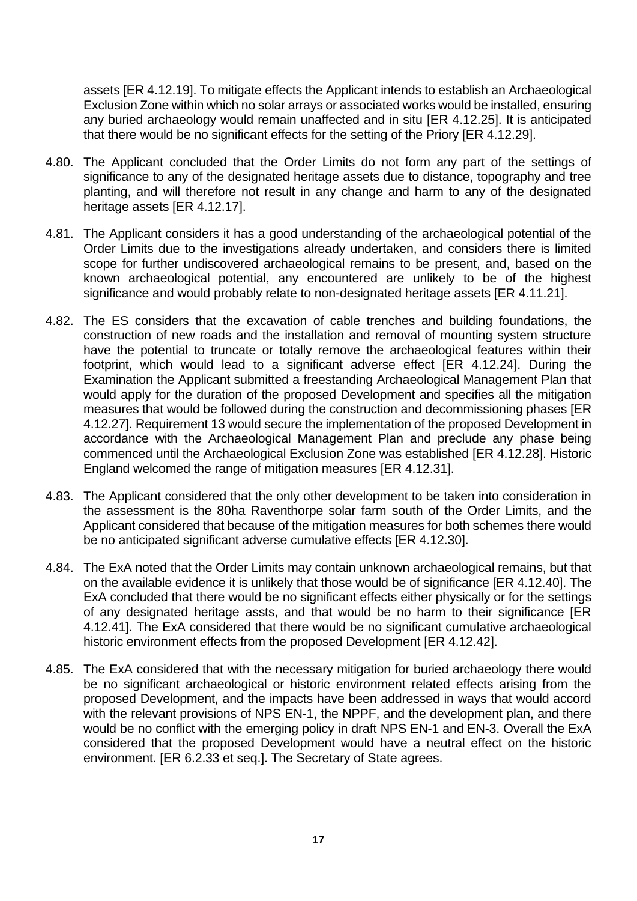assets [ER 4.12.19]. To mitigate effects the Applicant intends to establish an Archaeological Exclusion Zone within which no solar arrays or associated works would be installed, ensuring any buried archaeology would remain unaffected and in situ [ER 4.12.25]. It is anticipated that there would be no significant effects for the setting of the Priory [ER 4.12.29].

- 4.80. The Applicant concluded that the Order Limits do not form any part of the settings of significance to any of the designated heritage assets due to distance, topography and tree planting, and will therefore not result in any change and harm to any of the designated heritage assets [ER 4.12.17].
- 4.81. The Applicant considers it has a good understanding of the archaeological potential of the Order Limits due to the investigations already undertaken, and considers there is limited scope for further undiscovered archaeological remains to be present, and, based on the known archaeological potential, any encountered are unlikely to be of the highest significance and would probably relate to non-designated heritage assets [ER 4.11.21].
- 4.82. The ES considers that the excavation of cable trenches and building foundations, the construction of new roads and the installation and removal of mounting system structure have the potential to truncate or totally remove the archaeological features within their footprint, which would lead to a significant adverse effect [ER 4.12.24]. During the Examination the Applicant submitted a freestanding Archaeological Management Plan that would apply for the duration of the proposed Development and specifies all the mitigation measures that would be followed during the construction and decommissioning phases [ER 4.12.27]. Requirement 13 would secure the implementation of the proposed Development in accordance with the Archaeological Management Plan and preclude any phase being commenced until the Archaeological Exclusion Zone was established [ER 4.12.28]. Historic England welcomed the range of mitigation measures [ER 4.12.31].
- 4.83. The Applicant considered that the only other development to be taken into consideration in the assessment is the 80ha Raventhorpe solar farm south of the Order Limits, and the Applicant considered that because of the mitigation measures for both schemes there would be no anticipated significant adverse cumulative effects [ER 4.12.30].
- 4.84. The ExA noted that the Order Limits may contain unknown archaeological remains, but that on the available evidence it is unlikely that those would be of significance [ER 4.12.40]. The ExA concluded that there would be no significant effects either physically or for the settings of any designated heritage assts, and that would be no harm to their significance [ER 4.12.41]. The ExA considered that there would be no significant cumulative archaeological historic environment effects from the proposed Development [ER 4.12.42].
- 4.85. The ExA considered that with the necessary mitigation for buried archaeology there would be no significant archaeological or historic environment related effects arising from the proposed Development, and the impacts have been addressed in ways that would accord with the relevant provisions of NPS EN-1, the NPPF, and the development plan, and there would be no conflict with the emerging policy in draft NPS EN-1 and EN-3. Overall the ExA considered that the proposed Development would have a neutral effect on the historic environment. [ER 6.2.33 et seq.]. The Secretary of State agrees.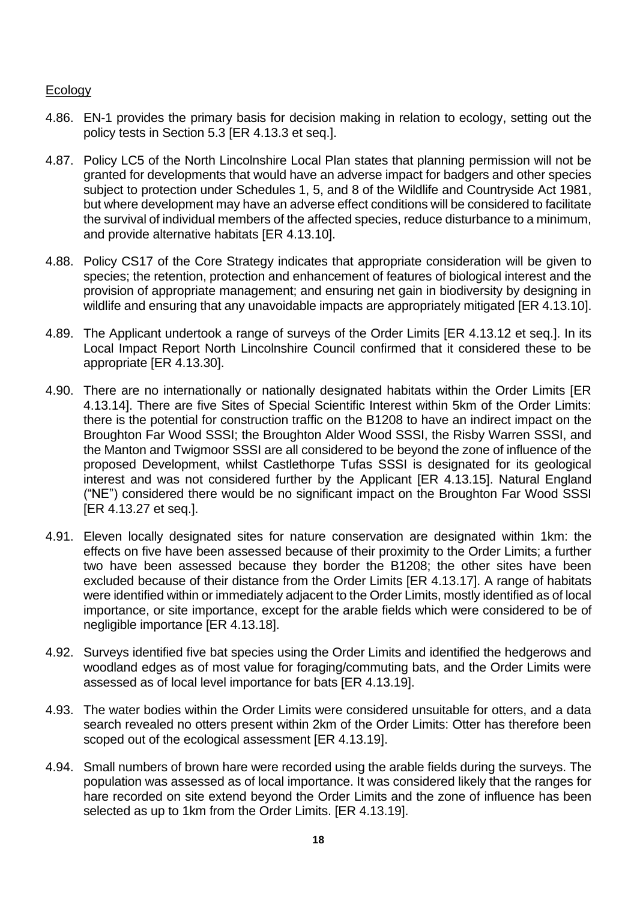#### Ecology

- 4.86. EN-1 provides the primary basis for decision making in relation to ecology, setting out the policy tests in Section 5.3 [ER 4.13.3 et seq.].
- 4.87. Policy LC5 of the North Lincolnshire Local Plan states that planning permission will not be granted for developments that would have an adverse impact for badgers and other species subject to protection under Schedules 1, 5, and 8 of the Wildlife and Countryside Act 1981, but where development may have an adverse effect conditions will be considered to facilitate the survival of individual members of the affected species, reduce disturbance to a minimum, and provide alternative habitats [ER 4.13.10].
- 4.88. Policy CS17 of the Core Strategy indicates that appropriate consideration will be given to species; the retention, protection and enhancement of features of biological interest and the provision of appropriate management; and ensuring net gain in biodiversity by designing in wildlife and ensuring that any unavoidable impacts are appropriately mitigated [ER 4.13.10].
- 4.89. The Applicant undertook a range of surveys of the Order Limits [ER 4.13.12 et seq.]. In its Local Impact Report North Lincolnshire Council confirmed that it considered these to be appropriate [ER 4.13.30].
- 4.90. There are no internationally or nationally designated habitats within the Order Limits [ER 4.13.14]. There are five Sites of Special Scientific Interest within 5km of the Order Limits: there is the potential for construction traffic on the B1208 to have an indirect impact on the Broughton Far Wood SSSI; the Broughton Alder Wood SSSI, the Risby Warren SSSI, and the Manton and Twigmoor SSSI are all considered to be beyond the zone of influence of the proposed Development, whilst Castlethorpe Tufas SSSI is designated for its geological interest and was not considered further by the Applicant [ER 4.13.15]. Natural England ("NE") considered there would be no significant impact on the Broughton Far Wood SSSI [ER 4.13.27 et seq.].
- 4.91. Eleven locally designated sites for nature conservation are designated within 1km: the effects on five have been assessed because of their proximity to the Order Limits; a further two have been assessed because they border the B1208; the other sites have been excluded because of their distance from the Order Limits [ER 4.13.17]. A range of habitats were identified within or immediately adjacent to the Order Limits, mostly identified as of local importance, or site importance, except for the arable fields which were considered to be of negligible importance [ER 4.13.18].
- 4.92. Surveys identified five bat species using the Order Limits and identified the hedgerows and woodland edges as of most value for foraging/commuting bats, and the Order Limits were assessed as of local level importance for bats [ER 4.13.19].
- 4.93. The water bodies within the Order Limits were considered unsuitable for otters, and a data search revealed no otters present within 2km of the Order Limits: Otter has therefore been scoped out of the ecological assessment [ER 4.13.19].
- 4.94. Small numbers of brown hare were recorded using the arable fields during the surveys. The population was assessed as of local importance. It was considered likely that the ranges for hare recorded on site extend beyond the Order Limits and the zone of influence has been selected as up to 1km from the Order Limits. [ER 4.13.19].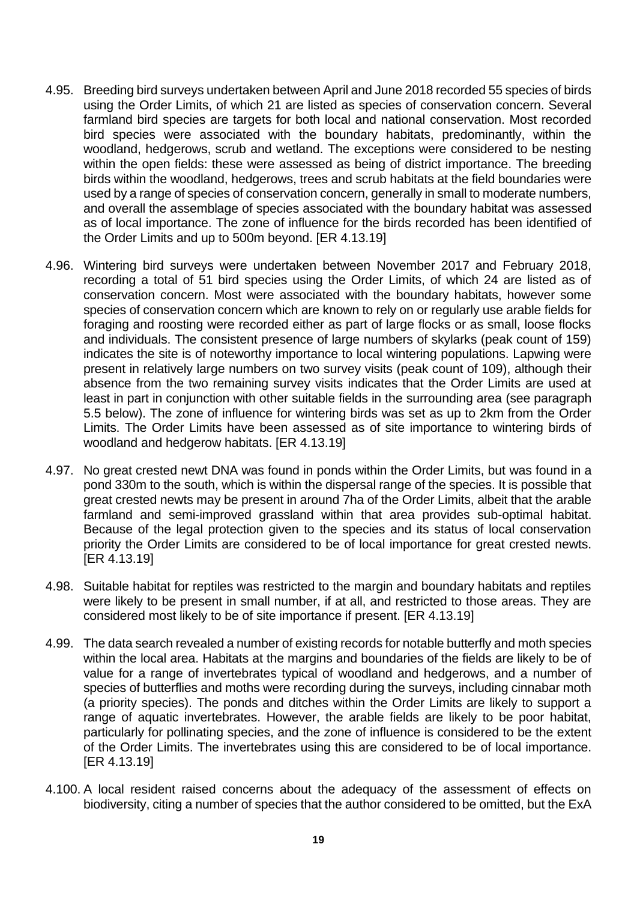- 4.95. Breeding bird surveys undertaken between April and June 2018 recorded 55 species of birds using the Order Limits, of which 21 are listed as species of conservation concern. Several farmland bird species are targets for both local and national conservation. Most recorded bird species were associated with the boundary habitats, predominantly, within the woodland, hedgerows, scrub and wetland. The exceptions were considered to be nesting within the open fields: these were assessed as being of district importance. The breeding birds within the woodland, hedgerows, trees and scrub habitats at the field boundaries were used by a range of species of conservation concern, generally in small to moderate numbers, and overall the assemblage of species associated with the boundary habitat was assessed as of local importance. The zone of influence for the birds recorded has been identified of the Order Limits and up to 500m beyond. [ER 4.13.19]
- <span id="page-18-0"></span>4.96. Wintering bird surveys were undertaken between November 2017 and February 2018, recording a total of 51 bird species using the Order Limits, of which 24 are listed as of conservation concern. Most were associated with the boundary habitats, however some species of conservation concern which are known to rely on or regularly use arable fields for foraging and roosting were recorded either as part of large flocks or as small, loose flocks and individuals. The consistent presence of large numbers of skylarks (peak count of 159) indicates the site is of noteworthy importance to local wintering populations. Lapwing were present in relatively large numbers on two survey visits (peak count of 109), although their absence from the two remaining survey visits indicates that the Order Limits are used at least in part in conjunction with other suitable fields in the surrounding area (see paragraph [5.5 below\)](#page-27-0). The zone of influence for wintering birds was set as up to 2km from the Order Limits. The Order Limits have been assessed as of site importance to wintering birds of woodland and hedgerow habitats. [ER 4.13.19]
- 4.97. No great crested newt DNA was found in ponds within the Order Limits, but was found in a pond 330m to the south, which is within the dispersal range of the species. It is possible that great crested newts may be present in around 7ha of the Order Limits, albeit that the arable farmland and semi-improved grassland within that area provides sub-optimal habitat. Because of the legal protection given to the species and its status of local conservation priority the Order Limits are considered to be of local importance for great crested newts. [ER 4.13.19]
- 4.98. Suitable habitat for reptiles was restricted to the margin and boundary habitats and reptiles were likely to be present in small number, if at all, and restricted to those areas. They are considered most likely to be of site importance if present. [ER 4.13.19]
- 4.99. The data search revealed a number of existing records for notable butterfly and moth species within the local area. Habitats at the margins and boundaries of the fields are likely to be of value for a range of invertebrates typical of woodland and hedgerows, and a number of species of butterflies and moths were recording during the surveys, including cinnabar moth (a priority species). The ponds and ditches within the Order Limits are likely to support a range of aquatic invertebrates. However, the arable fields are likely to be poor habitat, particularly for pollinating species, and the zone of influence is considered to be the extent of the Order Limits. The invertebrates using this are considered to be of local importance. [ER 4.13.19]
- 4.100. A local resident raised concerns about the adequacy of the assessment of effects on biodiversity, citing a number of species that the author considered to be omitted, but the ExA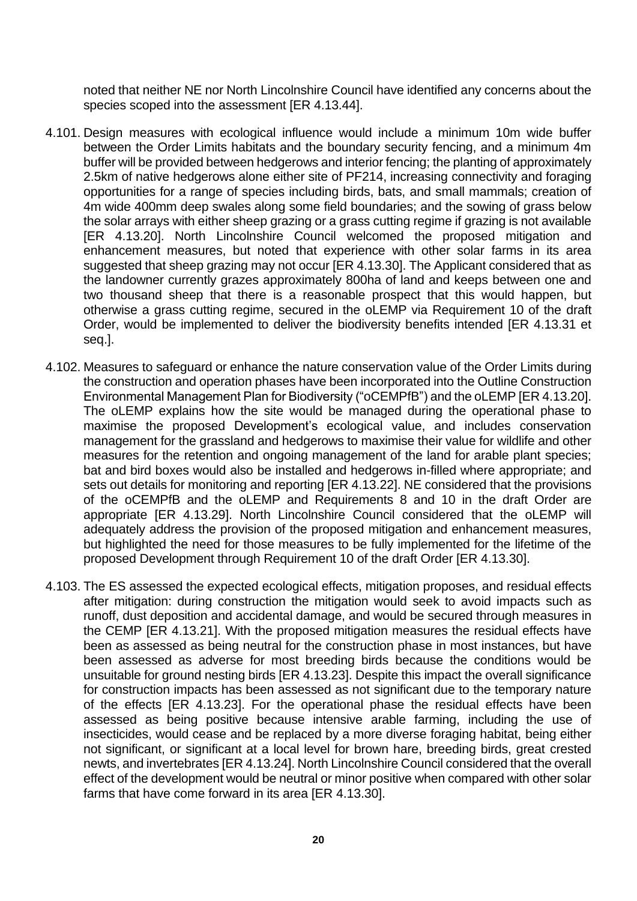noted that neither NE nor North Lincolnshire Council have identified any concerns about the species scoped into the assessment [ER 4.13.44].

- 4.101. Design measures with ecological influence would include a minimum 10m wide buffer between the Order Limits habitats and the boundary security fencing, and a minimum 4m buffer will be provided between hedgerows and interior fencing; the planting of approximately 2.5km of native hedgerows alone either site of PF214, increasing connectivity and foraging opportunities for a range of species including birds, bats, and small mammals; creation of 4m wide 400mm deep swales along some field boundaries; and the sowing of grass below the solar arrays with either sheep grazing or a grass cutting regime if grazing is not available [ER 4.13.20]. North Lincolnshire Council welcomed the proposed mitigation and enhancement measures, but noted that experience with other solar farms in its area suggested that sheep grazing may not occur [ER 4.13.30]. The Applicant considered that as the landowner currently grazes approximately 800ha of land and keeps between one and two thousand sheep that there is a reasonable prospect that this would happen, but otherwise a grass cutting regime, secured in the oLEMP via Requirement 10 of the draft Order, would be implemented to deliver the biodiversity benefits intended [ER 4.13.31 et seq.].
- 4.102. Measures to safeguard or enhance the nature conservation value of the Order Limits during the construction and operation phases have been incorporated into the Outline Construction Environmental Management Plan for Biodiversity ("oCEMPfB") and the oLEMP [ER 4.13.20]. The oLEMP explains how the site would be managed during the operational phase to maximise the proposed Development's ecological value, and includes conservation management for the grassland and hedgerows to maximise their value for wildlife and other measures for the retention and ongoing management of the land for arable plant species; bat and bird boxes would also be installed and hedgerows in-filled where appropriate; and sets out details for monitoring and reporting [ER 4.13.22]. NE considered that the provisions of the oCEMPfB and the oLEMP and Requirements 8 and 10 in the draft Order are appropriate [ER 4.13.29]. North Lincolnshire Council considered that the oLEMP will adequately address the provision of the proposed mitigation and enhancement measures, but highlighted the need for those measures to be fully implemented for the lifetime of the proposed Development through Requirement 10 of the draft Order [ER 4.13.30].
- 4.103. The ES assessed the expected ecological effects, mitigation proposes, and residual effects after mitigation: during construction the mitigation would seek to avoid impacts such as runoff, dust deposition and accidental damage, and would be secured through measures in the CEMP [ER 4.13.21]. With the proposed mitigation measures the residual effects have been as assessed as being neutral for the construction phase in most instances, but have been assessed as adverse for most breeding birds because the conditions would be unsuitable for ground nesting birds [ER 4.13.23]. Despite this impact the overall significance for construction impacts has been assessed as not significant due to the temporary nature of the effects [ER 4.13.23]. For the operational phase the residual effects have been assessed as being positive because intensive arable farming, including the use of insecticides, would cease and be replaced by a more diverse foraging habitat, being either not significant, or significant at a local level for brown hare, breeding birds, great crested newts, and invertebrates [ER 4.13.24]. North Lincolnshire Council considered that the overall effect of the development would be neutral or minor positive when compared with other solar farms that have come forward in its area [ER 4.13.30].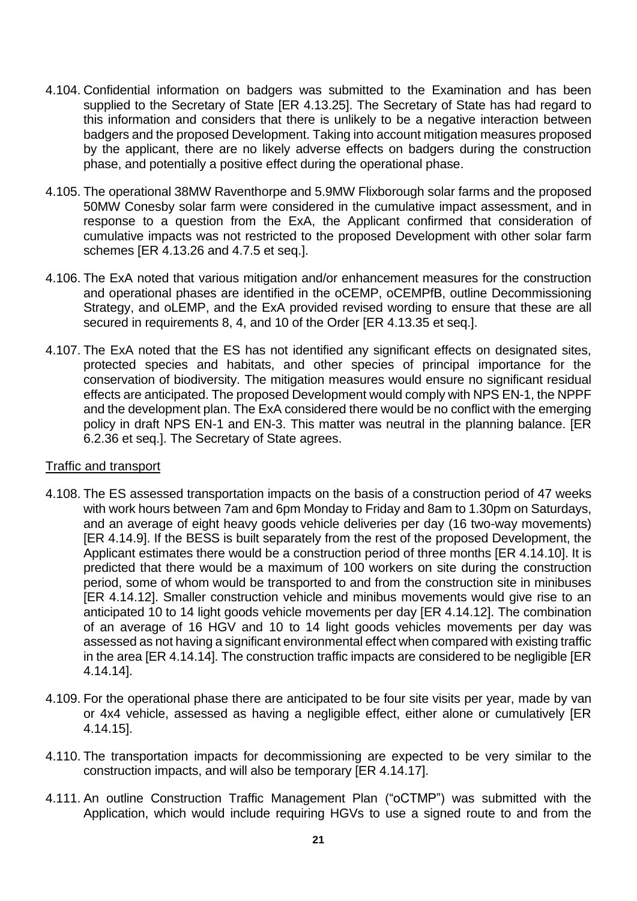- 4.104. Confidential information on badgers was submitted to the Examination and has been supplied to the Secretary of State [ER 4.13.25]. The Secretary of State has had regard to this information and considers that there is unlikely to be a negative interaction between badgers and the proposed Development. Taking into account mitigation measures proposed by the applicant, there are no likely adverse effects on badgers during the construction phase, and potentially a positive effect during the operational phase.
- 4.105. The operational 38MW Raventhorpe and 5.9MW Flixborough solar farms and the proposed 50MW Conesby solar farm were considered in the cumulative impact assessment, and in response to a question from the ExA, the Applicant confirmed that consideration of cumulative impacts was not restricted to the proposed Development with other solar farm schemes [ER 4.13.26 and 4.7.5 et seq.].
- 4.106. The ExA noted that various mitigation and/or enhancement measures for the construction and operational phases are identified in the oCEMP, oCEMPfB, outline Decommissioning Strategy, and oLEMP, and the ExA provided revised wording to ensure that these are all secured in requirements 8, 4, and 10 of the Order [ER 4.13.35 et seq.].
- 4.107. The ExA noted that the ES has not identified any significant effects on designated sites, protected species and habitats, and other species of principal importance for the conservation of biodiversity. The mitigation measures would ensure no significant residual effects are anticipated. The proposed Development would comply with NPS EN-1, the NPPF and the development plan. The ExA considered there would be no conflict with the emerging policy in draft NPS EN-1 and EN-3. This matter was neutral in the planning balance. [ER 6.2.36 et seq.]. The Secretary of State agrees.

#### Traffic and transport

- 4.108. The ES assessed transportation impacts on the basis of a construction period of 47 weeks with work hours between 7am and 6pm Monday to Friday and 8am to 1.30pm on Saturdays, and an average of eight heavy goods vehicle deliveries per day (16 two-way movements) [ER 4.14.9]. If the BESS is built separately from the rest of the proposed Development, the Applicant estimates there would be a construction period of three months [ER 4.14.10]. It is predicted that there would be a maximum of 100 workers on site during the construction period, some of whom would be transported to and from the construction site in minibuses [ER 4.14.12]. Smaller construction vehicle and minibus movements would give rise to an anticipated 10 to 14 light goods vehicle movements per day [ER 4.14.12]. The combination of an average of 16 HGV and 10 to 14 light goods vehicles movements per day was assessed as not having a significant environmental effect when compared with existing traffic in the area [ER 4.14.14]. The construction traffic impacts are considered to be negligible [ER 4.14.14].
- 4.109. For the operational phase there are anticipated to be four site visits per year, made by van or 4x4 vehicle, assessed as having a negligible effect, either alone or cumulatively [ER 4.14.15].
- 4.110. The transportation impacts for decommissioning are expected to be very similar to the construction impacts, and will also be temporary [ER 4.14.17].
- 4.111. An outline Construction Traffic Management Plan ("oCTMP") was submitted with the Application, which would include requiring HGVs to use a signed route to and from the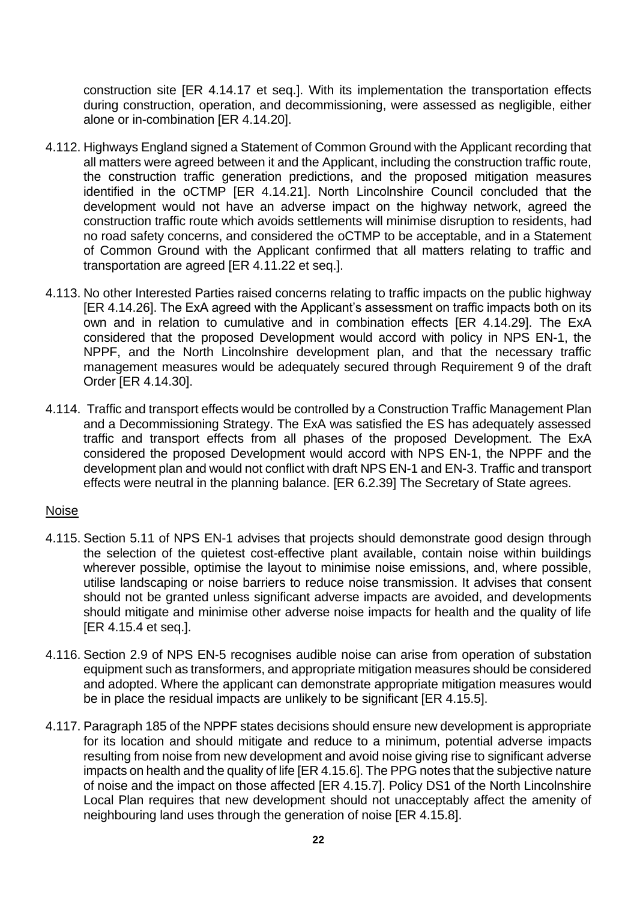construction site [ER 4.14.17 et seq.]. With its implementation the transportation effects during construction, operation, and decommissioning, were assessed as negligible, either alone or in-combination [ER 4.14.20].

- 4.112. Highways England signed a Statement of Common Ground with the Applicant recording that all matters were agreed between it and the Applicant, including the construction traffic route, the construction traffic generation predictions, and the proposed mitigation measures identified in the oCTMP [ER 4.14.21]. North Lincolnshire Council concluded that the development would not have an adverse impact on the highway network, agreed the construction traffic route which avoids settlements will minimise disruption to residents, had no road safety concerns, and considered the oCTMP to be acceptable, and in a Statement of Common Ground with the Applicant confirmed that all matters relating to traffic and transportation are agreed [ER 4.11.22 et seq.].
- 4.113. No other Interested Parties raised concerns relating to traffic impacts on the public highway [ER 4.14.26]. The ExA agreed with the Applicant's assessment on traffic impacts both on its own and in relation to cumulative and in combination effects [ER 4.14.29]. The ExA considered that the proposed Development would accord with policy in NPS EN-1, the NPPF, and the North Lincolnshire development plan, and that the necessary traffic management measures would be adequately secured through Requirement 9 of the draft Order [ER 4.14.30].
- 4.114. Traffic and transport effects would be controlled by a Construction Traffic Management Plan and a Decommissioning Strategy. The ExA was satisfied the ES has adequately assessed traffic and transport effects from all phases of the proposed Development. The ExA considered the proposed Development would accord with NPS EN-1, the NPPF and the development plan and would not conflict with draft NPS EN-1 and EN-3. Traffic and transport effects were neutral in the planning balance. [ER 6.2.39] The Secretary of State agrees.

#### Noise

- 4.115. Section 5.11 of NPS EN-1 advises that projects should demonstrate good design through the selection of the quietest cost-effective plant available, contain noise within buildings wherever possible, optimise the layout to minimise noise emissions, and, where possible, utilise landscaping or noise barriers to reduce noise transmission. It advises that consent should not be granted unless significant adverse impacts are avoided, and developments should mitigate and minimise other adverse noise impacts for health and the quality of life [ER 4.15.4 et seq.].
- 4.116. Section 2.9 of NPS EN-5 recognises audible noise can arise from operation of substation equipment such as transformers, and appropriate mitigation measures should be considered and adopted. Where the applicant can demonstrate appropriate mitigation measures would be in place the residual impacts are unlikely to be significant [ER 4.15.5].
- 4.117. Paragraph 185 of the NPPF states decisions should ensure new development is appropriate for its location and should mitigate and reduce to a minimum, potential adverse impacts resulting from noise from new development and avoid noise giving rise to significant adverse impacts on health and the quality of life [ER 4.15.6]. The PPG notes that the subjective nature of noise and the impact on those affected [ER 4.15.7]. Policy DS1 of the North Lincolnshire Local Plan requires that new development should not unacceptably affect the amenity of neighbouring land uses through the generation of noise [ER 4.15.8].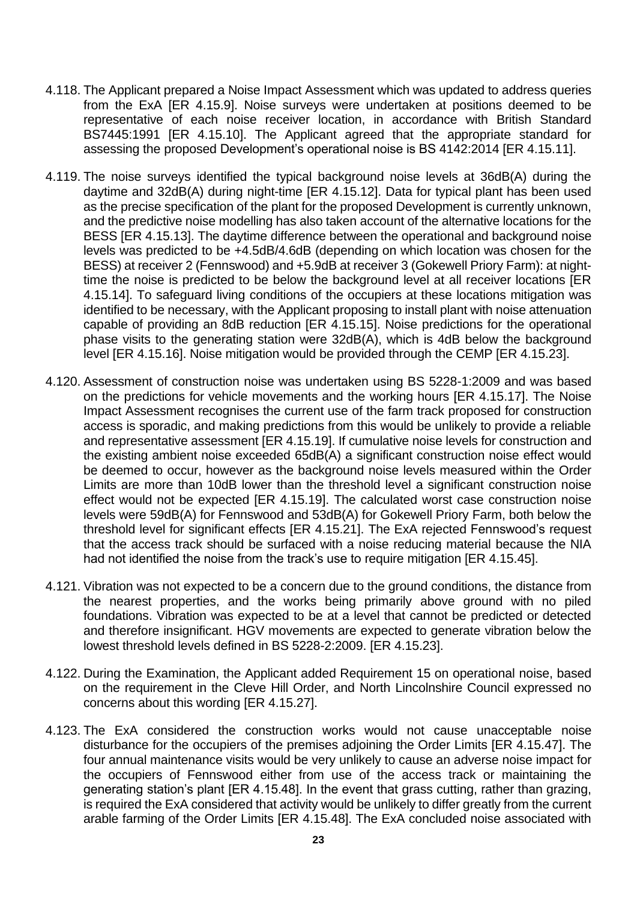- 4.118. The Applicant prepared a Noise Impact Assessment which was updated to address queries from the ExA [ER 4.15.9]. Noise surveys were undertaken at positions deemed to be representative of each noise receiver location, in accordance with British Standard BS7445:1991 [ER 4.15.10]. The Applicant agreed that the appropriate standard for assessing the proposed Development's operational noise is BS 4142:2014 [ER 4.15.11].
- 4.119. The noise surveys identified the typical background noise levels at 36dB(A) during the daytime and 32dB(A) during night-time [ER 4.15.12]. Data for typical plant has been used as the precise specification of the plant for the proposed Development is currently unknown, and the predictive noise modelling has also taken account of the alternative locations for the BESS [ER 4.15.13]. The daytime difference between the operational and background noise levels was predicted to be +4.5dB/4.6dB (depending on which location was chosen for the BESS) at receiver 2 (Fennswood) and +5.9dB at receiver 3 (Gokewell Priory Farm): at nighttime the noise is predicted to be below the background level at all receiver locations [ER 4.15.14]. To safeguard living conditions of the occupiers at these locations mitigation was identified to be necessary, with the Applicant proposing to install plant with noise attenuation capable of providing an 8dB reduction [ER 4.15.15]. Noise predictions for the operational phase visits to the generating station were 32dB(A), which is 4dB below the background level [ER 4.15.16]. Noise mitigation would be provided through the CEMP [ER 4.15.23].
- 4.120. Assessment of construction noise was undertaken using BS 5228-1:2009 and was based on the predictions for vehicle movements and the working hours [ER 4.15.17]. The Noise Impact Assessment recognises the current use of the farm track proposed for construction access is sporadic, and making predictions from this would be unlikely to provide a reliable and representative assessment [ER 4.15.19]. If cumulative noise levels for construction and the existing ambient noise exceeded 65dB(A) a significant construction noise effect would be deemed to occur, however as the background noise levels measured within the Order Limits are more than 10dB lower than the threshold level a significant construction noise effect would not be expected [ER 4.15.19]. The calculated worst case construction noise levels were 59dB(A) for Fennswood and 53dB(A) for Gokewell Priory Farm, both below the threshold level for significant effects [ER 4.15.21]. The ExA rejected Fennswood's request that the access track should be surfaced with a noise reducing material because the NIA had not identified the noise from the track's use to require mitigation [ER 4.15.45].
- 4.121. Vibration was not expected to be a concern due to the ground conditions, the distance from the nearest properties, and the works being primarily above ground with no piled foundations. Vibration was expected to be at a level that cannot be predicted or detected and therefore insignificant. HGV movements are expected to generate vibration below the lowest threshold levels defined in BS 5228-2:2009. [ER 4.15.23].
- 4.122. During the Examination, the Applicant added Requirement 15 on operational noise, based on the requirement in the Cleve Hill Order, and North Lincolnshire Council expressed no concerns about this wording [ER 4.15.27].
- 4.123. The ExA considered the construction works would not cause unacceptable noise disturbance for the occupiers of the premises adjoining the Order Limits [ER 4.15.47]. The four annual maintenance visits would be very unlikely to cause an adverse noise impact for the occupiers of Fennswood either from use of the access track or maintaining the generating station's plant [ER 4.15.48]. In the event that grass cutting, rather than grazing, is required the ExA considered that activity would be unlikely to differ greatly from the current arable farming of the Order Limits [ER 4.15.48]. The ExA concluded noise associated with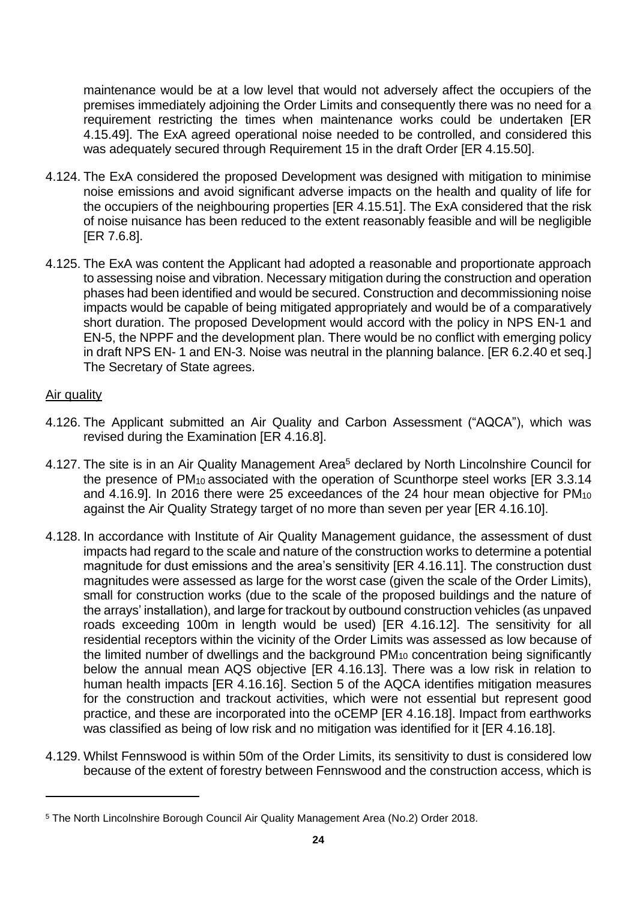maintenance would be at a low level that would not adversely affect the occupiers of the premises immediately adjoining the Order Limits and consequently there was no need for a requirement restricting the times when maintenance works could be undertaken [ER 4.15.49]. The ExA agreed operational noise needed to be controlled, and considered this was adequately secured through Requirement 15 in the draft Order [ER 4.15.50].

- 4.124. The ExA considered the proposed Development was designed with mitigation to minimise noise emissions and avoid significant adverse impacts on the health and quality of life for the occupiers of the neighbouring properties [ER 4.15.51]. The ExA considered that the risk of noise nuisance has been reduced to the extent reasonably feasible and will be negligible [ER 7.6.8].
- 4.125. The ExA was content the Applicant had adopted a reasonable and proportionate approach to assessing noise and vibration. Necessary mitigation during the construction and operation phases had been identified and would be secured. Construction and decommissioning noise impacts would be capable of being mitigated appropriately and would be of a comparatively short duration. The proposed Development would accord with the policy in NPS EN-1 and EN-5, the NPPF and the development plan. There would be no conflict with emerging policy in draft NPS EN- 1 and EN-3. Noise was neutral in the planning balance. [ER 6.2.40 et seq.] The Secretary of State agrees.

### Air quality

- 4.126. The Applicant submitted an Air Quality and Carbon Assessment ("AQCA"), which was revised during the Examination [ER 4.16.8].
- 4.127. The site is in an Air Quality Management Area<sup>5</sup> declared by North Lincolnshire Council for the presence of PM<sub>10</sub> associated with the operation of Scunthorpe steel works [ER 3.3.14] and 4.16.9]. In 2016 there were 25 exceedances of the 24 hour mean objective for PM<sub>10</sub> against the Air Quality Strategy target of no more than seven per year [ER 4.16.10].
- 4.128. In accordance with Institute of Air Quality Management guidance, the assessment of dust impacts had regard to the scale and nature of the construction works to determine a potential magnitude for dust emissions and the area's sensitivity [ER 4.16.11]. The construction dust magnitudes were assessed as large for the worst case (given the scale of the Order Limits), small for construction works (due to the scale of the proposed buildings and the nature of the arrays' installation), and large for trackout by outbound construction vehicles (as unpaved roads exceeding 100m in length would be used) [ER 4.16.12]. The sensitivity for all residential receptors within the vicinity of the Order Limits was assessed as low because of the limited number of dwellings and the background PM<sup>10</sup> concentration being significantly below the annual mean AQS objective [ER 4.16.13]. There was a low risk in relation to human health impacts [ER 4.16.16]. Section 5 of the AQCA identifies mitigation measures for the construction and trackout activities, which were not essential but represent good practice, and these are incorporated into the oCEMP [ER 4.16.18]. Impact from earthworks was classified as being of low risk and no mitigation was identified for it [ER 4.16.18].
- 4.129. Whilst Fennswood is within 50m of the Order Limits, its sensitivity to dust is considered low because of the extent of forestry between Fennswood and the construction access, which is

<sup>5</sup> The North Lincolnshire Borough Council Air Quality Management Area (No.2) Order 2018.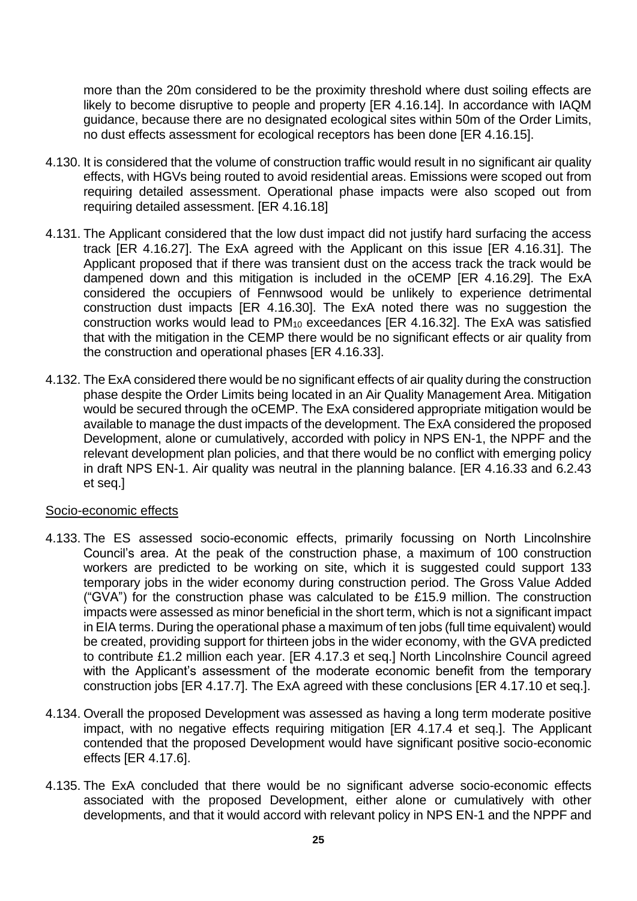more than the 20m considered to be the proximity threshold where dust soiling effects are likely to become disruptive to people and property [ER 4.16.14]. In accordance with IAQM guidance, because there are no designated ecological sites within 50m of the Order Limits, no dust effects assessment for ecological receptors has been done [ER 4.16.15].

- 4.130. It is considered that the volume of construction traffic would result in no significant air quality effects, with HGVs being routed to avoid residential areas. Emissions were scoped out from requiring detailed assessment. Operational phase impacts were also scoped out from requiring detailed assessment. [ER 4.16.18]
- 4.131. The Applicant considered that the low dust impact did not justify hard surfacing the access track [ER 4.16.27]. The ExA agreed with the Applicant on this issue [ER 4.16.31]. The Applicant proposed that if there was transient dust on the access track the track would be dampened down and this mitigation is included in the oCEMP [ER 4.16.29]. The ExA considered the occupiers of Fennwsood would be unlikely to experience detrimental construction dust impacts [ER 4.16.30]. The ExA noted there was no suggestion the construction works would lead to PM<sup>10</sup> exceedances [ER 4.16.32]. The ExA was satisfied that with the mitigation in the CEMP there would be no significant effects or air quality from the construction and operational phases [ER 4.16.33].
- 4.132. The ExA considered there would be no significant effects of air quality during the construction phase despite the Order Limits being located in an Air Quality Management Area. Mitigation would be secured through the oCEMP. The ExA considered appropriate mitigation would be available to manage the dust impacts of the development. The ExA considered the proposed Development, alone or cumulatively, accorded with policy in NPS EN-1, the NPPF and the relevant development plan policies, and that there would be no conflict with emerging policy in draft NPS EN-1. Air quality was neutral in the planning balance. [ER 4.16.33 and 6.2.43 et seq.]

#### Socio-economic effects

- 4.133. The ES assessed socio-economic effects, primarily focussing on North Lincolnshire Council's area. At the peak of the construction phase, a maximum of 100 construction workers are predicted to be working on site, which it is suggested could support 133 temporary jobs in the wider economy during construction period. The Gross Value Added ("GVA") for the construction phase was calculated to be £15.9 million. The construction impacts were assessed as minor beneficial in the short term, which is not a significant impact in EIA terms. During the operational phase a maximum of ten jobs (full time equivalent) would be created, providing support for thirteen jobs in the wider economy, with the GVA predicted to contribute £1.2 million each year. [ER 4.17.3 et seq.] North Lincolnshire Council agreed with the Applicant's assessment of the moderate economic benefit from the temporary construction jobs [ER 4.17.7]. The ExA agreed with these conclusions [ER 4.17.10 et seq.].
- 4.134. Overall the proposed Development was assessed as having a long term moderate positive impact, with no negative effects requiring mitigation [ER 4.17.4 et seq.]. The Applicant contended that the proposed Development would have significant positive socio-economic effects [ER 4.17.6].
- 4.135. The ExA concluded that there would be no significant adverse socio-economic effects associated with the proposed Development, either alone or cumulatively with other developments, and that it would accord with relevant policy in NPS EN-1 and the NPPF and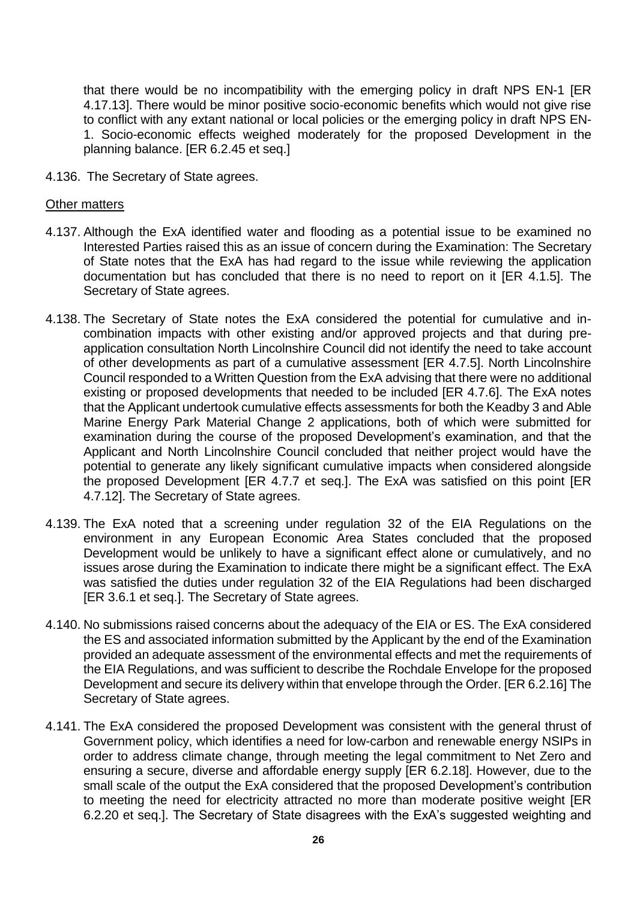that there would be no incompatibility with the emerging policy in draft NPS EN-1 [ER 4.17.13]. There would be minor positive socio-economic benefits which would not give rise to conflict with any extant national or local policies or the emerging policy in draft NPS EN-1. Socio-economic effects weighed moderately for the proposed Development in the planning balance. [ER 6.2.45 et seq.]

4.136. The Secretary of State agrees.

#### Other matters

- 4.137. Although the ExA identified water and flooding as a potential issue to be examined no Interested Parties raised this as an issue of concern during the Examination: The Secretary of State notes that the ExA has had regard to the issue while reviewing the application documentation but has concluded that there is no need to report on it [ER 4.1.5]. The Secretary of State agrees.
- 4.138. The Secretary of State notes the ExA considered the potential for cumulative and incombination impacts with other existing and/or approved projects and that during preapplication consultation North Lincolnshire Council did not identify the need to take account of other developments as part of a cumulative assessment [ER 4.7.5]. North Lincolnshire Council responded to a Written Question from the ExA advising that there were no additional existing or proposed developments that needed to be included [ER 4.7.6]. The ExA notes that the Applicant undertook cumulative effects assessments for both the Keadby 3 and Able Marine Energy Park Material Change 2 applications, both of which were submitted for examination during the course of the proposed Development's examination, and that the Applicant and North Lincolnshire Council concluded that neither project would have the potential to generate any likely significant cumulative impacts when considered alongside the proposed Development [ER 4.7.7 et seq.]. The ExA was satisfied on this point [ER 4.7.12]. The Secretary of State agrees.
- 4.139. The ExA noted that a screening under regulation 32 of the EIA Regulations on the environment in any European Economic Area States concluded that the proposed Development would be unlikely to have a significant effect alone or cumulatively, and no issues arose during the Examination to indicate there might be a significant effect. The ExA was satisfied the duties under regulation 32 of the EIA Regulations had been discharged [ER 3.6.1 et seq.]. The Secretary of State agrees.
- 4.140. No submissions raised concerns about the adequacy of the EIA or ES. The ExA considered the ES and associated information submitted by the Applicant by the end of the Examination provided an adequate assessment of the environmental effects and met the requirements of the EIA Regulations, and was sufficient to describe the Rochdale Envelope for the proposed Development and secure its delivery within that envelope through the Order. [ER 6.2.16] The Secretary of State agrees.
- 4.141. The ExA considered the proposed Development was consistent with the general thrust of Government policy, which identifies a need for low-carbon and renewable energy NSIPs in order to address climate change, through meeting the legal commitment to Net Zero and ensuring a secure, diverse and affordable energy supply [ER 6.2.18]. However, due to the small scale of the output the ExA considered that the proposed Development's contribution to meeting the need for electricity attracted no more than moderate positive weight [ER 6.2.20 et seq.]. The Secretary of State disagrees with the ExA's suggested weighting and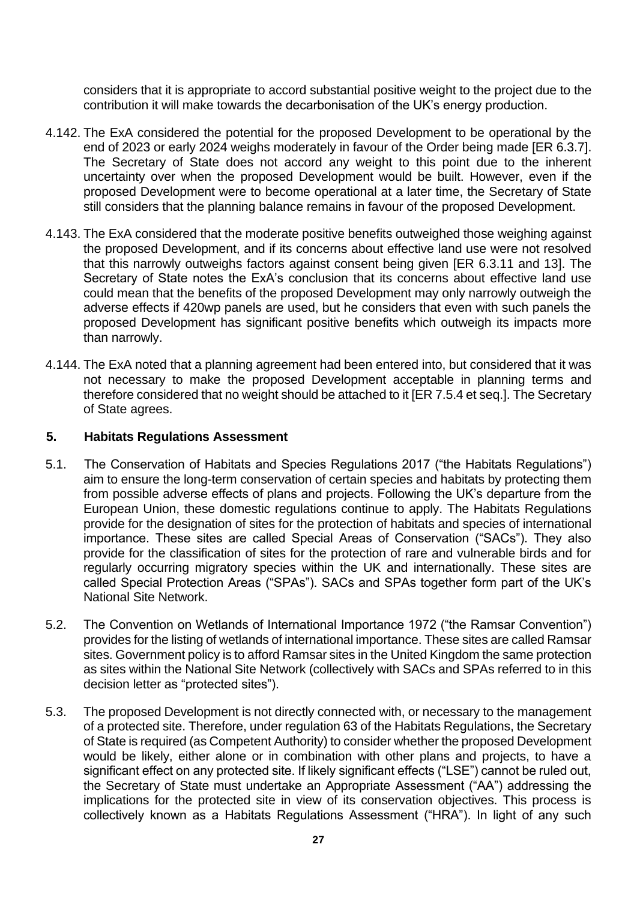considers that it is appropriate to accord substantial positive weight to the project due to the contribution it will make towards the decarbonisation of the UK's energy production.

- 4.142. The ExA considered the potential for the proposed Development to be operational by the end of 2023 or early 2024 weighs moderately in favour of the Order being made [ER 6.3.7]. The Secretary of State does not accord any weight to this point due to the inherent uncertainty over when the proposed Development would be built. However, even if the proposed Development were to become operational at a later time, the Secretary of State still considers that the planning balance remains in favour of the proposed Development.
- 4.143. The ExA considered that the moderate positive benefits outweighed those weighing against the proposed Development, and if its concerns about effective land use were not resolved that this narrowly outweighs factors against consent being given [ER 6.3.11 and 13]. The Secretary of State notes the ExA's conclusion that its concerns about effective land use could mean that the benefits of the proposed Development may only narrowly outweigh the adverse effects if 420wp panels are used, but he considers that even with such panels the proposed Development has significant positive benefits which outweigh its impacts more than narrowly.
- 4.144. The ExA noted that a planning agreement had been entered into, but considered that it was not necessary to make the proposed Development acceptable in planning terms and therefore considered that no weight should be attached to it [ER 7.5.4 et seq.]. The Secretary of State agrees.

#### **5. Habitats Regulations Assessment**

- 5.1. The Conservation of Habitats and Species Regulations 2017 ("the Habitats Regulations") aim to ensure the long-term conservation of certain species and habitats by protecting them from possible adverse effects of plans and projects. Following the UK's departure from the European Union, these domestic regulations continue to apply. The Habitats Regulations provide for the designation of sites for the protection of habitats and species of international importance. These sites are called Special Areas of Conservation ("SACs"). They also provide for the classification of sites for the protection of rare and vulnerable birds and for regularly occurring migratory species within the UK and internationally. These sites are called Special Protection Areas ("SPAs"). SACs and SPAs together form part of the UK's National Site Network.
- 5.2. The Convention on Wetlands of International Importance 1972 ("the Ramsar Convention") provides for the listing of wetlands of international importance. These sites are called Ramsar sites. Government policy is to afford Ramsar sites in the United Kingdom the same protection as sites within the National Site Network (collectively with SACs and SPAs referred to in this decision letter as "protected sites").
- 5.3. The proposed Development is not directly connected with, or necessary to the management of a protected site. Therefore, under regulation 63 of the Habitats Regulations, the Secretary of State is required (as Competent Authority) to consider whether the proposed Development would be likely, either alone or in combination with other plans and projects, to have a significant effect on any protected site. If likely significant effects ("LSE") cannot be ruled out, the Secretary of State must undertake an Appropriate Assessment ("AA") addressing the implications for the protected site in view of its conservation objectives. This process is collectively known as a Habitats Regulations Assessment ("HRA"). In light of any such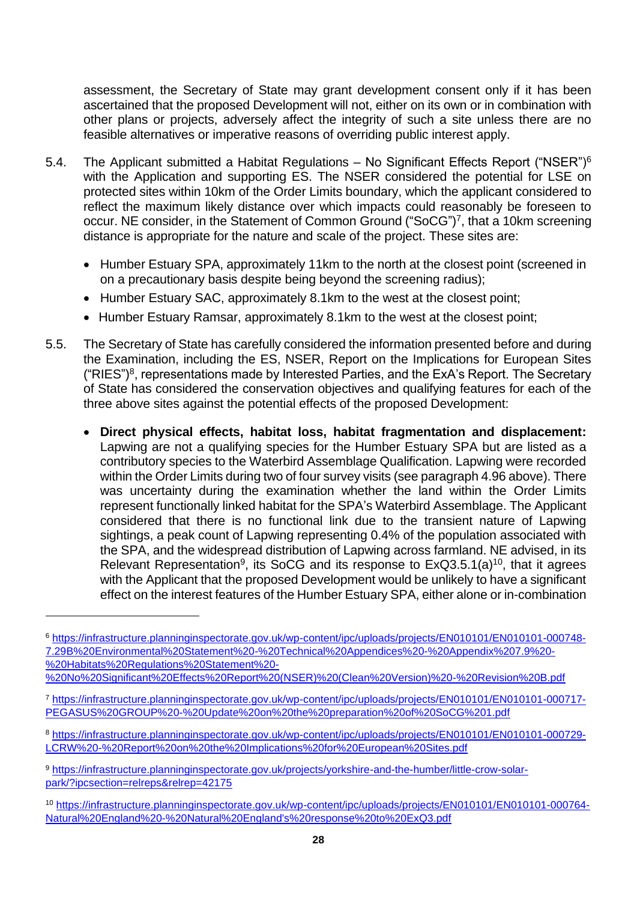assessment, the Secretary of State may grant development consent only if it has been ascertained that the proposed Development will not, either on its own or in combination with other plans or projects, adversely affect the integrity of such a site unless there are no feasible alternatives or imperative reasons of overriding public interest apply.

- 5.4. The Applicant submitted a Habitat Regulations No Significant Effects Report ("NSER")<sup>6</sup> with the Application and supporting ES. The NSER considered the potential for LSE on protected sites within 10km of the Order Limits boundary, which the applicant considered to reflect the maximum likely distance over which impacts could reasonably be foreseen to occur. NE consider, in the Statement of Common Ground ("SoCG")<sup>7</sup>, that a 10km screening distance is appropriate for the nature and scale of the project. These sites are:
	- Humber Estuary SPA, approximately 11km to the north at the closest point (screened in on a precautionary basis despite being beyond the screening radius);
	- Humber Estuary SAC, approximately 8.1km to the west at the closest point;
	- Humber Estuary Ramsar, approximately 8.1km to the west at the closest point;
- <span id="page-27-0"></span>5.5. The Secretary of State has carefully considered the information presented before and during the Examination, including the ES, NSER, Report on the Implications for European Sites  $("RIES")<sup>8</sup>$ , representations made by Interested Parties, and the ExA's Report. The Secretary of State has considered the conservation objectives and qualifying features for each of the three above sites against the potential effects of the proposed Development:
	- **Direct physical effects, habitat loss, habitat fragmentation and displacement:** Lapwing are not a qualifying species for the Humber Estuary SPA but are listed as a contributory species to the Waterbird Assemblage Qualification. Lapwing were recorded within the Order Limits during two of four survey visits (see paragraph [4.96 above\)](#page-18-0). There was uncertainty during the examination whether the land within the Order Limits represent functionally linked habitat for the SPA's Waterbird Assemblage. The Applicant considered that there is no functional link due to the transient nature of Lapwing sightings, a peak count of Lapwing representing 0.4% of the population associated with the SPA, and the widespread distribution of Lapwing across farmland. NE advised, in its Relevant Representation<sup>9</sup>, its SoCG and its response to  $ExQ3.5.1(a)^{10}$ , that it agrees with the Applicant that the proposed Development would be unlikely to have a significant effect on the interest features of the Humber Estuary SPA, either alone or in-combination

<sup>6</sup> [https://infrastructure.planninginspectorate.gov.uk/wp-content/ipc/uploads/projects/EN010101/EN010101-000748-](https://infrastructure.planninginspectorate.gov.uk/wp-content/ipc/uploads/projects/EN010101/EN010101-000748-7.29B%20Environmental%20Statement%20-%20Technical%20Appendices%20-%20Appendix%207.9%20-%20Habitats%20Regulations%20Statement%20-%20No%20Significant%20Effects%20Report%20(NSER)%20(Clean%20Version)%20-%20Revision%20B.pdf) [7.29B%20Environmental%20Statement%20-%20Technical%20Appendices%20-%20Appendix%207.9%20-](https://infrastructure.planninginspectorate.gov.uk/wp-content/ipc/uploads/projects/EN010101/EN010101-000748-7.29B%20Environmental%20Statement%20-%20Technical%20Appendices%20-%20Appendix%207.9%20-%20Habitats%20Regulations%20Statement%20-%20No%20Significant%20Effects%20Report%20(NSER)%20(Clean%20Version)%20-%20Revision%20B.pdf) [%20Habitats%20Regulations%20Statement%20-](https://infrastructure.planninginspectorate.gov.uk/wp-content/ipc/uploads/projects/EN010101/EN010101-000748-7.29B%20Environmental%20Statement%20-%20Technical%20Appendices%20-%20Appendix%207.9%20-%20Habitats%20Regulations%20Statement%20-%20No%20Significant%20Effects%20Report%20(NSER)%20(Clean%20Version)%20-%20Revision%20B.pdf)

[<sup>%20</sup>No%20Significant%20Effects%20Report%20\(NSER\)%20\(Clean%20Version\)%20-%20Revision%20B.pdf](https://infrastructure.planninginspectorate.gov.uk/wp-content/ipc/uploads/projects/EN010101/EN010101-000748-7.29B%20Environmental%20Statement%20-%20Technical%20Appendices%20-%20Appendix%207.9%20-%20Habitats%20Regulations%20Statement%20-%20No%20Significant%20Effects%20Report%20(NSER)%20(Clean%20Version)%20-%20Revision%20B.pdf)

<sup>7</sup> [https://infrastructure.planninginspectorate.gov.uk/wp-content/ipc/uploads/projects/EN010101/EN010101-000717-](https://infrastructure.planninginspectorate.gov.uk/wp-content/ipc/uploads/projects/EN010101/EN010101-000717-PEGASUS%20GROUP%20-%20Update%20on%20the%20preparation%20of%20SoCG%201.pdf) [PEGASUS%20GROUP%20-%20Update%20on%20the%20preparation%20of%20SoCG%201.pdf](https://infrastructure.planninginspectorate.gov.uk/wp-content/ipc/uploads/projects/EN010101/EN010101-000717-PEGASUS%20GROUP%20-%20Update%20on%20the%20preparation%20of%20SoCG%201.pdf)

<sup>8</sup> [https://infrastructure.planninginspectorate.gov.uk/wp-content/ipc/uploads/projects/EN010101/EN010101-000729-](https://infrastructure.planninginspectorate.gov.uk/wp-content/ipc/uploads/projects/EN010101/EN010101-000729-LCRW%20-%20Report%20on%20the%20Implications%20for%20European%20Sites.pdf) [LCRW%20-%20Report%20on%20the%20Implications%20for%20European%20Sites.pdf](https://infrastructure.planninginspectorate.gov.uk/wp-content/ipc/uploads/projects/EN010101/EN010101-000729-LCRW%20-%20Report%20on%20the%20Implications%20for%20European%20Sites.pdf)

<sup>9</sup> [https://infrastructure.planninginspectorate.gov.uk/projects/yorkshire-and-the-humber/little-crow-solar](https://infrastructure.planninginspectorate.gov.uk/projects/yorkshire-and-the-humber/little-crow-solar-park/?ipcsection=relreps&relrep=42175)[park/?ipcsection=relreps&relrep=42175](https://infrastructure.planninginspectorate.gov.uk/projects/yorkshire-and-the-humber/little-crow-solar-park/?ipcsection=relreps&relrep=42175)

<sup>10</sup> [https://infrastructure.planninginspectorate.gov.uk/wp-content/ipc/uploads/projects/EN010101/EN010101-000764-](https://infrastructure.planninginspectorate.gov.uk/wp-content/ipc/uploads/projects/EN010101/EN010101-000764-Natural%20England%20-%20Natural%20England) [Natural%20England%20-%20Natural%20England's%20response%20to%20ExQ3.pdf](https://infrastructure.planninginspectorate.gov.uk/wp-content/ipc/uploads/projects/EN010101/EN010101-000764-Natural%20England%20-%20Natural%20England)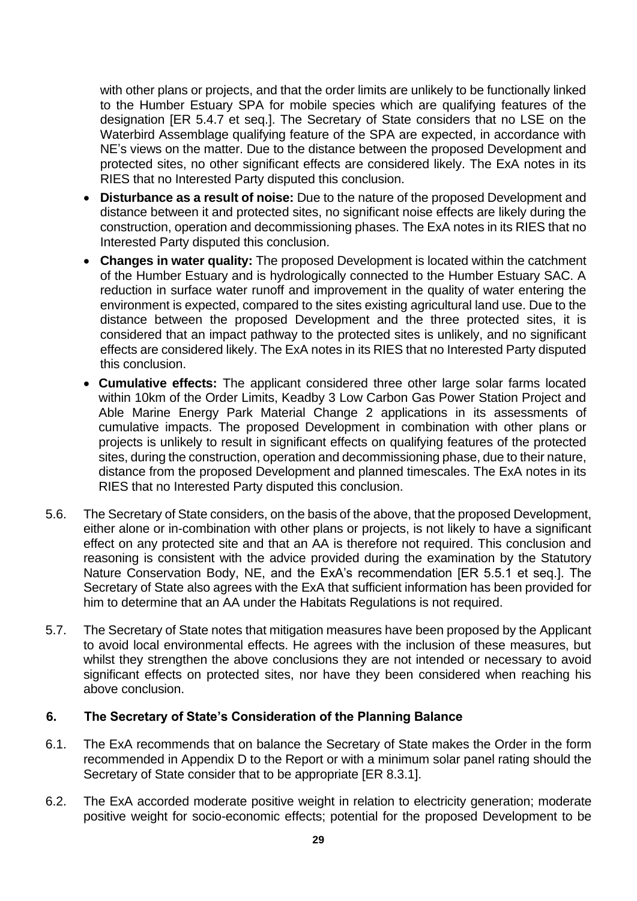with other plans or projects, and that the order limits are unlikely to be functionally linked to the Humber Estuary SPA for mobile species which are qualifying features of the designation [ER 5.4.7 et seq.]. The Secretary of State considers that no LSE on the Waterbird Assemblage qualifying feature of the SPA are expected, in accordance with NE's views on the matter. Due to the distance between the proposed Development and protected sites, no other significant effects are considered likely. The ExA notes in its RIES that no Interested Party disputed this conclusion.

- **Disturbance as a result of noise:** Due to the nature of the proposed Development and distance between it and protected sites, no significant noise effects are likely during the construction, operation and decommissioning phases. The ExA notes in its RIES that no Interested Party disputed this conclusion.
- **Changes in water quality:** The proposed Development is located within the catchment of the Humber Estuary and is hydrologically connected to the Humber Estuary SAC. A reduction in surface water runoff and improvement in the quality of water entering the environment is expected, compared to the sites existing agricultural land use. Due to the distance between the proposed Development and the three protected sites, it is considered that an impact pathway to the protected sites is unlikely, and no significant effects are considered likely. The ExA notes in its RIES that no Interested Party disputed this conclusion.
- **Cumulative effects:** The applicant considered three other large solar farms located within 10km of the Order Limits, Keadby 3 Low Carbon Gas Power Station Project and Able Marine Energy Park Material Change 2 applications in its assessments of cumulative impacts. The proposed Development in combination with other plans or projects is unlikely to result in significant effects on qualifying features of the protected sites, during the construction, operation and decommissioning phase, due to their nature, distance from the proposed Development and planned timescales. The ExA notes in its RIES that no Interested Party disputed this conclusion.
- 5.6. The Secretary of State considers, on the basis of the above, that the proposed Development, either alone or in-combination with other plans or projects, is not likely to have a significant effect on any protected site and that an AA is therefore not required. This conclusion and reasoning is consistent with the advice provided during the examination by the Statutory Nature Conservation Body, NE, and the ExA's recommendation [ER 5.5.1 et seq.]. The Secretary of State also agrees with the ExA that sufficient information has been provided for him to determine that an AA under the Habitats Regulations is not required.
- 5.7. The Secretary of State notes that mitigation measures have been proposed by the Applicant to avoid local environmental effects. He agrees with the inclusion of these measures, but whilst they strengthen the above conclusions they are not intended or necessary to avoid significant effects on protected sites, nor have they been considered when reaching his above conclusion.

#### **6. The Secretary of State's Consideration of the Planning Balance**

- 6.1. The ExA recommends that on balance the Secretary of State makes the Order in the form recommended in Appendix D to the Report or with a minimum solar panel rating should the Secretary of State consider that to be appropriate [ER 8.3.1].
- 6.2. The ExA accorded moderate positive weight in relation to electricity generation; moderate positive weight for socio-economic effects; potential for the proposed Development to be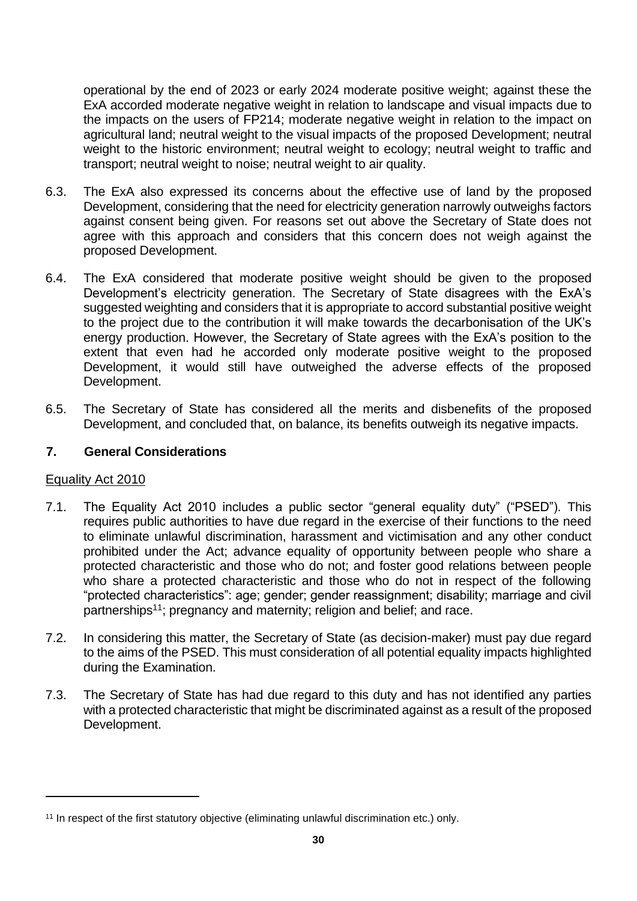operational by the end of 2023 or early 2024 moderate positive weight; against these the ExA accorded moderate negative weight in relation to landscape and visual impacts due to the impacts on the users of FP214; moderate negative weight in relation to the impact on agricultural land; neutral weight to the visual impacts of the proposed Development; neutral weight to the historic environment; neutral weight to ecology; neutral weight to traffic and transport; neutral weight to noise; neutral weight to air quality.

- 6.3. The ExA also expressed its concerns about the effective use of land by the proposed Development, considering that the need for electricity generation narrowly outweighs factors against consent being given. For reasons set out above the Secretary of State does not agree with this approach and considers that this concern does not weigh against the proposed Development.
- 6.4. The ExA considered that moderate positive weight should be given to the proposed Development's electricity generation. The Secretary of State disagrees with the ExA's suggested weighting and considers that it is appropriate to accord substantial positive weight to the project due to the contribution it will make towards the decarbonisation of the UK's energy production. However, the Secretary of State agrees with the ExA's position to the extent that even had he accorded only moderate positive weight to the proposed Development, it would still have outweighed the adverse effects of the proposed Development.
- 6.5. The Secretary of State has considered all the merits and disbenefits of the proposed Development, and concluded that, on balance, its benefits outweigh its negative impacts.

### **7. General Considerations**

#### Equality Act 2010

- 7.1. The Equality Act 2010 includes a public sector "general equality duty" ("PSED"). This requires public authorities to have due regard in the exercise of their functions to the need to eliminate unlawful discrimination, harassment and victimisation and any other conduct prohibited under the Act; advance equality of opportunity between people who share a protected characteristic and those who do not; and foster good relations between people who share a protected characteristic and those who do not in respect of the following "protected characteristics": age; gender; gender reassignment; disability; marriage and civil partnerships<sup>11</sup>; pregnancy and maternity; religion and belief; and race.
- 7.2. In considering this matter, the Secretary of State (as decision-maker) must pay due regard to the aims of the PSED. This must consideration of all potential equality impacts highlighted during the Examination.
- 7.3. The Secretary of State has had due regard to this duty and has not identified any parties with a protected characteristic that might be discriminated against as a result of the proposed Development.

<sup>&</sup>lt;sup>11</sup> In respect of the first statutory objective (eliminating unlawful discrimination etc.) only.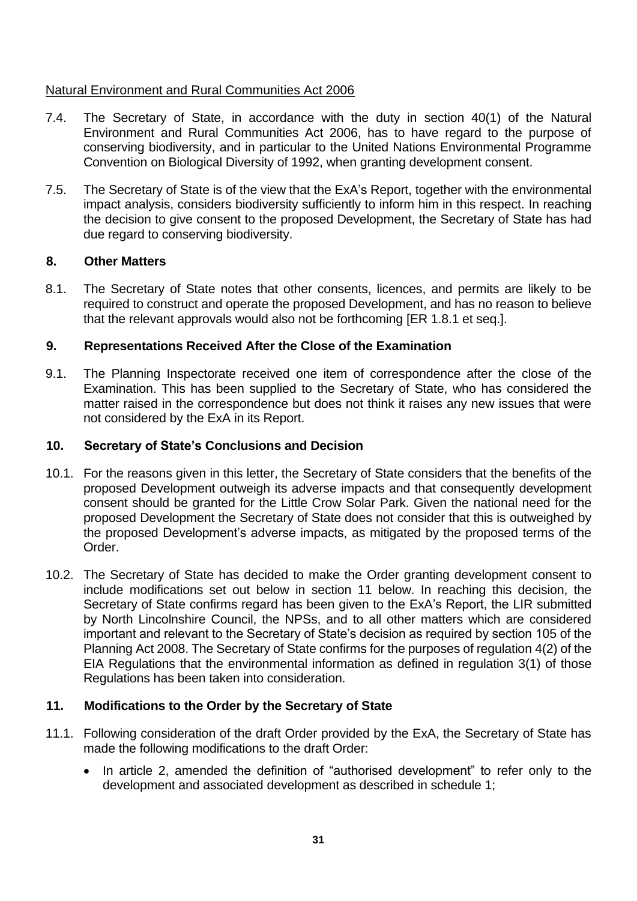### Natural Environment and Rural Communities Act 2006

- 7.4. The Secretary of State, in accordance with the duty in section 40(1) of the Natural Environment and Rural Communities Act 2006, has to have regard to the purpose of conserving biodiversity, and in particular to the United Nations Environmental Programme Convention on Biological Diversity of 1992, when granting development consent.
- 7.5. The Secretary of State is of the view that the ExA's Report, together with the environmental impact analysis, considers biodiversity sufficiently to inform him in this respect. In reaching the decision to give consent to the proposed Development, the Secretary of State has had due regard to conserving biodiversity.

### **8. Other Matters**

8.1. The Secretary of State notes that other consents, licences, and permits are likely to be required to construct and operate the proposed Development, and has no reason to believe that the relevant approvals would also not be forthcoming [ER 1.8.1 et seq.].

### **9. Representations Received After the Close of the Examination**

9.1. The Planning Inspectorate received one item of correspondence after the close of the Examination. This has been supplied to the Secretary of State, who has considered the matter raised in the correspondence but does not think it raises any new issues that were not considered by the ExA in its Report.

### **10. Secretary of State's Conclusions and Decision**

- 10.1. For the reasons given in this letter, the Secretary of State considers that the benefits of the proposed Development outweigh its adverse impacts and that consequently development consent should be granted for the Little Crow Solar Park. Given the national need for the proposed Development the Secretary of State does not consider that this is outweighed by the proposed Development's adverse impacts, as mitigated by the proposed terms of the Order.
- 10.2. The Secretary of State has decided to make the Order granting development consent to include modifications set out below in section 11 below. In reaching this decision, the Secretary of State confirms regard has been given to the ExA's Report, the LIR submitted by North Lincolnshire Council, the NPSs, and to all other matters which are considered important and relevant to the Secretary of State's decision as required by section 105 of the Planning Act 2008. The Secretary of State confirms for the purposes of regulation 4(2) of the EIA Regulations that the environmental information as defined in regulation 3(1) of those Regulations has been taken into consideration.

#### **11. Modifications to the Order by the Secretary of State**

- 11.1. Following consideration of the draft Order provided by the ExA, the Secretary of State has made the following modifications to the draft Order:
	- In article 2, amended the definition of "authorised development" to refer only to the development and associated development as described in schedule 1;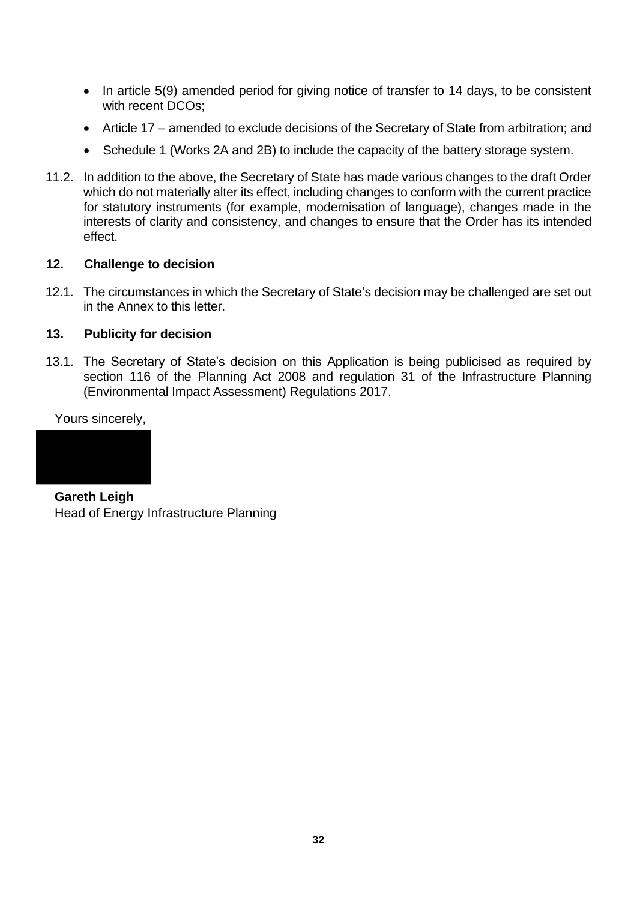- In article 5(9) amended period for giving notice of transfer to 14 days, to be consistent with recent DCOs;
- Article 17 amended to exclude decisions of the Secretary of State from arbitration; and
- Schedule 1 (Works 2A and 2B) to include the capacity of the battery storage system.
- 11.2. In addition to the above, the Secretary of State has made various changes to the draft Order which do not materially alter its effect, including changes to conform with the current practice for statutory instruments (for example, modernisation of language), changes made in the interests of clarity and consistency, and changes to ensure that the Order has its intended effect.

#### **12. Challenge to decision**

12.1. The circumstances in which the Secretary of State's decision may be challenged are set out in the Annex to this letter.

#### **13. Publicity for decision**

13.1. The Secretary of State's decision on this Application is being publicised as required by section 116 of the Planning Act 2008 and regulation 31 of the Infrastructure Planning (Environmental Impact Assessment) Regulations 2017.

Yours sincerely,



**Gareth Leigh** Head of Energy Infrastructure Planning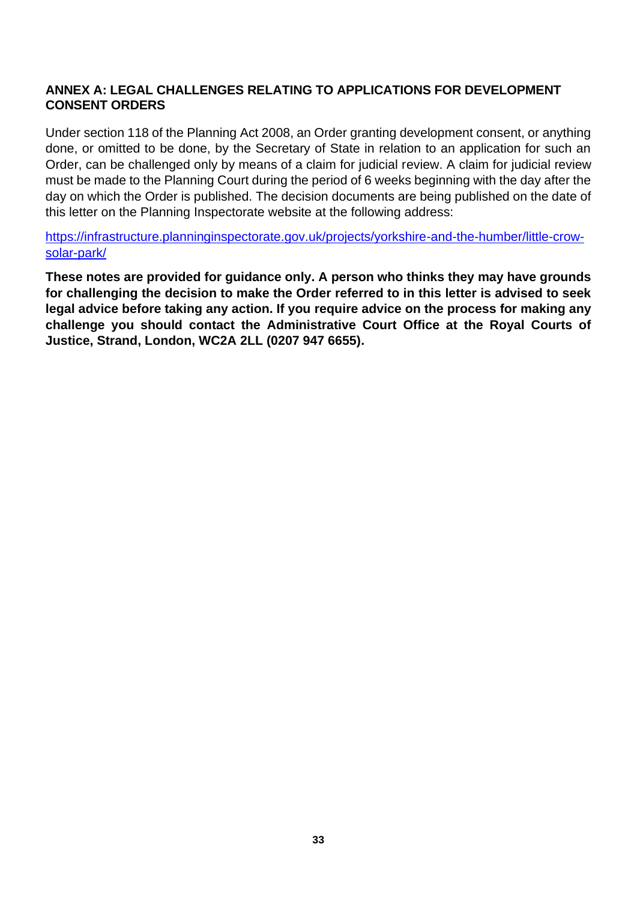### **ANNEX A: LEGAL CHALLENGES RELATING TO APPLICATIONS FOR DEVELOPMENT CONSENT ORDERS**

Under section 118 of the Planning Act 2008, an Order granting development consent, or anything done, or omitted to be done, by the Secretary of State in relation to an application for such an Order, can be challenged only by means of a claim for judicial review. A claim for judicial review must be made to the Planning Court during the period of 6 weeks beginning with the day after the day on which the Order is published. The decision documents are being published on the date of this letter on the Planning Inspectorate website at the following address:

[https://infrastructure.planninginspectorate.gov.uk/projects/yorkshire-and-the-humber/little-crow](https://infrastructure.planninginspectorate.gov.uk/projects/yorkshire-and-the-humber/little-crow-solar-park/)[solar-park/](https://infrastructure.planninginspectorate.gov.uk/projects/yorkshire-and-the-humber/little-crow-solar-park/)

**These notes are provided for guidance only. A person who thinks they may have grounds for challenging the decision to make the Order referred to in this letter is advised to seek legal advice before taking any action. If you require advice on the process for making any challenge you should contact the Administrative Court Office at the Royal Courts of Justice, Strand, London, WC2A 2LL (0207 947 6655).**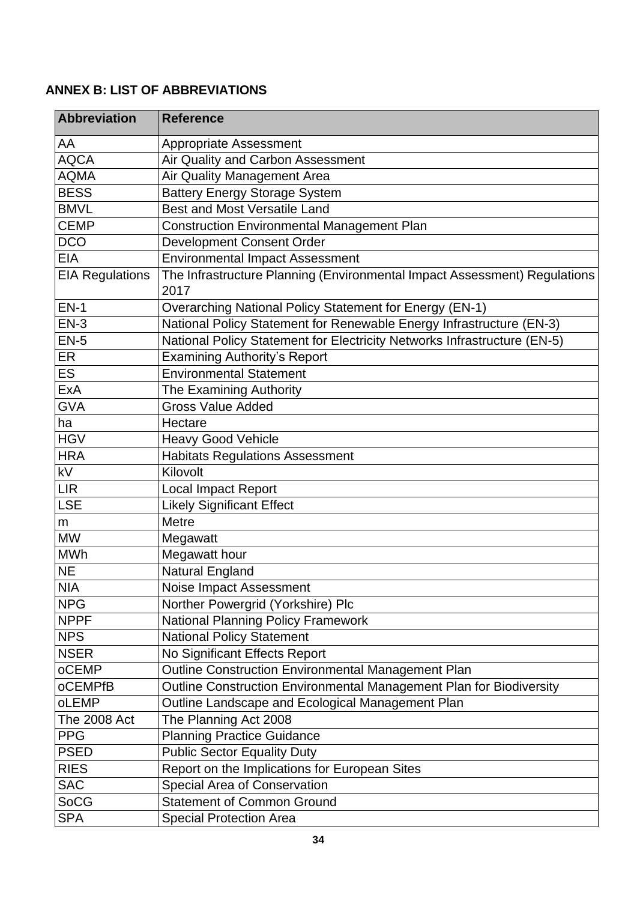# <span id="page-33-0"></span>**ANNEX B: LIST OF ABBREVIATIONS**

| <b>Abbreviation</b>      | <b>Reference</b>                                                                  |
|--------------------------|-----------------------------------------------------------------------------------|
| AA                       | <b>Appropriate Assessment</b>                                                     |
| <b>AQCA</b>              | Air Quality and Carbon Assessment                                                 |
| <b>AQMA</b>              | Air Quality Management Area                                                       |
| <b>BESS</b>              | <b>Battery Energy Storage System</b>                                              |
| <b>BMVL</b>              | <b>Best and Most Versatile Land</b>                                               |
| <b>CEMP</b>              | <b>Construction Environmental Management Plan</b>                                 |
| <b>DCO</b>               | Development Consent Order                                                         |
| <b>EIA</b>               | <b>Environmental Impact Assessment</b>                                            |
| <b>EIA Regulations</b>   | The Infrastructure Planning (Environmental Impact Assessment) Regulations<br>2017 |
| $EN-1$                   | Overarching National Policy Statement for Energy (EN-1)                           |
| $EN-3$                   | National Policy Statement for Renewable Energy Infrastructure (EN-3)              |
| $EN-5$                   | National Policy Statement for Electricity Networks Infrastructure (EN-5)          |
| ER                       | <b>Examining Authority's Report</b>                                               |
| <b>ES</b>                | <b>Environmental Statement</b>                                                    |
| ExA                      | The Examining Authority                                                           |
| <b>GVA</b>               | <b>Gross Value Added</b>                                                          |
| ha                       | Hectare                                                                           |
| <b>HGV</b>               | <b>Heavy Good Vehicle</b>                                                         |
| <b>HRA</b>               | <b>Habitats Regulations Assessment</b>                                            |
| $\overline{\mathsf{kV}}$ | Kilovolt                                                                          |
| <b>LIR</b>               | <b>Local Impact Report</b>                                                        |
| <b>LSE</b>               | <b>Likely Significant Effect</b>                                                  |
| m                        | <b>Metre</b>                                                                      |
| <b>MW</b>                | Megawatt                                                                          |
| <b>MWh</b>               | Megawatt hour                                                                     |
| <b>NE</b>                | Natural England                                                                   |
| <b>NIA</b>               | Noise Impact Assessment                                                           |
| <b>NPG</b>               | Norther Powergrid (Yorkshire) Plc                                                 |
| <b>NPPF</b>              | <b>National Planning Policy Framework</b>                                         |
| <b>NPS</b>               | <b>National Policy Statement</b>                                                  |
| <b>NSER</b>              | No Significant Effects Report                                                     |
| oCEMP                    | Outline Construction Environmental Management Plan                                |
| <b>oCEMPfB</b>           | Outline Construction Environmental Management Plan for Biodiversity               |
| oLEMP                    | Outline Landscape and Ecological Management Plan                                  |
| <b>The 2008 Act</b>      | The Planning Act 2008                                                             |
| <b>PPG</b>               | <b>Planning Practice Guidance</b>                                                 |
| <b>PSED</b>              | <b>Public Sector Equality Duty</b>                                                |
| <b>RIES</b>              | Report on the Implications for European Sites                                     |
| <b>SAC</b>               | Special Area of Conservation                                                      |
| <b>SoCG</b>              | <b>Statement of Common Ground</b>                                                 |
| <b>SPA</b>               | <b>Special Protection Area</b>                                                    |